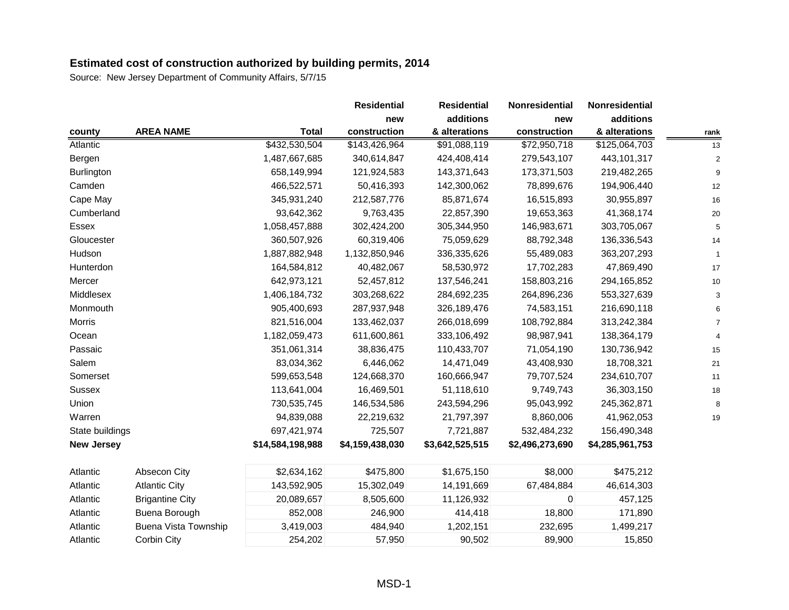|                   |                             |                  | <b>Residential</b> | <b>Residential</b> | Nonresidential  | <b>Nonresidential</b> |             |
|-------------------|-----------------------------|------------------|--------------------|--------------------|-----------------|-----------------------|-------------|
|                   |                             |                  | new                | additions          | new             | additions             |             |
| county            | <b>AREA NAME</b>            | <b>Total</b>     | construction       | & alterations      | construction    | & alterations         | rank        |
| Atlantic          |                             | \$432,530,504    | \$143,426,964      | \$91,088,119       | \$72,950,718    | \$125,064,703         | 13          |
| Bergen            |                             | 1,487,667,685    | 340,614,847        | 424,408,414        | 279,543,107     | 443,101,317           |             |
| Burlington        |                             | 658,149,994      | 121,924,583        | 143,371,643        | 173,371,503     | 219,482,265           | 9           |
| Camden            |                             | 466,522,571      | 50,416,393         | 142,300,062        | 78,899,676      | 194,906,440           | 12          |
| Cape May          |                             | 345,931,240      | 212,587,776        | 85,871,674         | 16,515,893      | 30,955,897            | 16          |
| Cumberland        |                             | 93,642,362       | 9,763,435          | 22,857,390         | 19,653,363      | 41,368,174            | 20          |
| Essex             |                             | 1,058,457,888    | 302,424,200        | 305,344,950        | 146,983,671     | 303,705,067           | 5           |
| Gloucester        |                             | 360,507,926      | 60,319,406         | 75,059,629         | 88,792,348      | 136,336,543           | 14          |
| Hudson            |                             | 1,887,882,948    | 1,132,850,946      | 336,335,626        | 55,489,083      | 363,207,293           | $\mathbf 1$ |
| Hunterdon         |                             | 164,584,812      | 40,482,067         | 58,530,972         | 17,702,283      | 47,869,490            | 17          |
| Mercer            |                             | 642,973,121      | 52,457,812         | 137,546,241        | 158,803,216     | 294,165,852           | 10          |
| Middlesex         |                             | 1,406,184,732    | 303,268,622        | 284,692,235        | 264,896,236     | 553,327,639           |             |
| Monmouth          |                             | 905,400,693      | 287,937,948        | 326,189,476        | 74,583,151      | 216,690,118           |             |
| <b>Morris</b>     |                             | 821,516,004      | 133,462,037        | 266,018,699        | 108,792,884     | 313,242,384           |             |
| Ocean             |                             | 1,182,059,473    | 611,600,861        | 333,106,492        | 98,987,941      | 138,364,179           |             |
| Passaic           |                             | 351,061,314      | 38,836,475         | 110,433,707        | 71,054,190      | 130,736,942           | 15          |
| Salem             |                             | 83,034,362       | 6,446,062          | 14,471,049         | 43,408,930      | 18,708,321            | 21          |
| Somerset          |                             | 599,653,548      | 124,668,370        | 160,666,947        | 79,707,524      | 234,610,707           | 11          |
| <b>Sussex</b>     |                             | 113,641,004      | 16,469,501         | 51,118,610         | 9,749,743       | 36,303,150            | 18          |
| Union             |                             | 730,535,745      | 146,534,586        | 243,594,296        | 95,043,992      | 245,362,871           | 8           |
| Warren            |                             | 94,839,088       | 22,219,632         | 21,797,397         | 8,860,006       | 41,962,053            | 19          |
| State buildings   |                             | 697,421,974      | 725,507            | 7,721,887          | 532,484,232     | 156,490,348           |             |
| <b>New Jersey</b> |                             | \$14,584,198,988 | \$4,159,438,030    | \$3,642,525,515    | \$2,496,273,690 | \$4,285,961,753       |             |
| Atlantic          | Absecon City                | \$2,634,162      | \$475,800          | \$1,675,150        | \$8,000         | \$475,212             |             |
| Atlantic          | <b>Atlantic City</b>        | 143,592,905      | 15,302,049         | 14,191,669         | 67,484,884      | 46,614,303            |             |
| Atlantic          | <b>Brigantine City</b>      | 20,089,657       | 8,505,600          | 11,126,932         | 0               | 457,125               |             |
| Atlantic          | Buena Borough               | 852,008          | 246,900            | 414,418            | 18,800          | 171,890               |             |
| Atlantic          | <b>Buena Vista Township</b> | 3,419,003        | 484,940            | 1,202,151          | 232,695         | 1,499,217             |             |
| Atlantic          | Corbin City                 | 254,202          | 57,950             | 90,502             | 89,900          | 15,850                |             |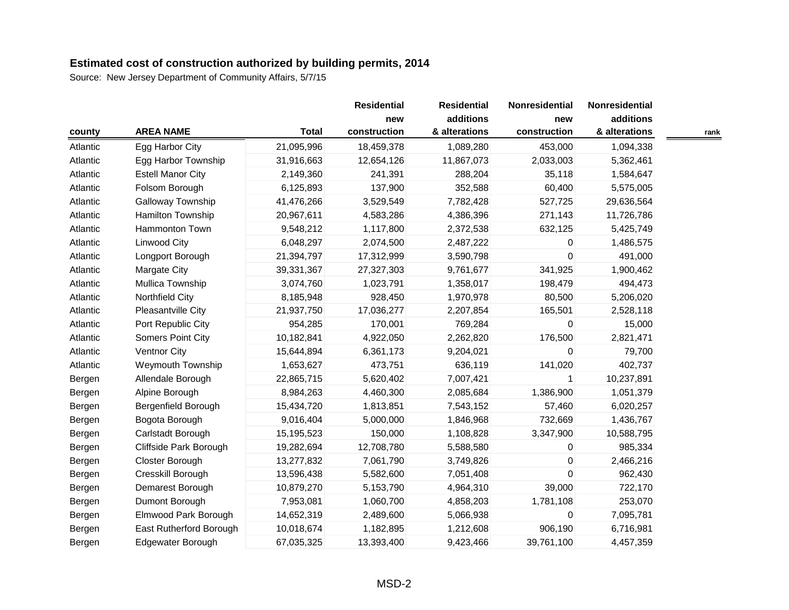|          |                          |              | <b>Residential</b> | <b>Residential</b> | Nonresidential | Nonresidential |      |
|----------|--------------------------|--------------|--------------------|--------------------|----------------|----------------|------|
|          |                          |              | new                | additions          | new            | additions      |      |
| county   | <b>AREA NAME</b>         | <b>Total</b> | construction       | & alterations      | construction   | & alterations  | rank |
| Atlantic | Egg Harbor City          | 21,095,996   | 18,459,378         | 1,089,280          | 453,000        | 1,094,338      |      |
| Atlantic | Egg Harbor Township      | 31,916,663   | 12,654,126         | 11,867,073         | 2,033,003      | 5,362,461      |      |
| Atlantic | <b>Estell Manor City</b> | 2,149,360    | 241,391            | 288,204            | 35,118         | 1,584,647      |      |
| Atlantic | Folsom Borough           | 6,125,893    | 137,900            | 352,588            | 60,400         | 5,575,005      |      |
| Atlantic | Galloway Township        | 41,476,266   | 3,529,549          | 7,782,428          | 527,725        | 29,636,564     |      |
| Atlantic | <b>Hamilton Township</b> | 20,967,611   | 4,583,286          | 4,386,396          | 271,143        | 11,726,786     |      |
| Atlantic | Hammonton Town           | 9,548,212    | 1,117,800          | 2,372,538          | 632,125        | 5,425,749      |      |
| Atlantic | <b>Linwood City</b>      | 6,048,297    | 2,074,500          | 2,487,222          | 0              | 1,486,575      |      |
| Atlantic | Longport Borough         | 21,394,797   | 17,312,999         | 3,590,798          | $\mathbf 0$    | 491,000        |      |
| Atlantic | <b>Margate City</b>      | 39,331,367   | 27,327,303         | 9,761,677          | 341,925        | 1,900,462      |      |
| Atlantic | Mullica Township         | 3,074,760    | 1,023,791          | 1,358,017          | 198,479        | 494,473        |      |
| Atlantic | Northfield City          | 8,185,948    | 928,450            | 1,970,978          | 80,500         | 5,206,020      |      |
| Atlantic | Pleasantville City       | 21,937,750   | 17,036,277         | 2,207,854          | 165,501        | 2,528,118      |      |
| Atlantic | Port Republic City       | 954,285      | 170,001            | 769,284            | $\Omega$       | 15,000         |      |
| Atlantic | Somers Point City        | 10,182,841   | 4,922,050          | 2,262,820          | 176,500        | 2,821,471      |      |
| Atlantic | Ventnor City             | 15,644,894   | 6,361,173          | 9,204,021          | 0              | 79,700         |      |
| Atlantic | <b>Weymouth Township</b> | 1,653,627    | 473,751            | 636,119            | 141,020        | 402,737        |      |
| Bergen   | Allendale Borough        | 22,865,715   | 5,620,402          | 7,007,421          | $\mathbf{1}$   | 10,237,891     |      |
| Bergen   | Alpine Borough           | 8,984,263    | 4,460,300          | 2,085,684          | 1,386,900      | 1,051,379      |      |
| Bergen   | Bergenfield Borough      | 15,434,720   | 1,813,851          | 7,543,152          | 57,460         | 6,020,257      |      |
| Bergen   | Bogota Borough           | 9,016,404    | 5,000,000          | 1,846,968          | 732,669        | 1,436,767      |      |
| Bergen   | Carlstadt Borough        | 15,195,523   | 150,000            | 1,108,828          | 3,347,900      | 10,588,795     |      |
| Bergen   | Cliffside Park Borough   | 19,282,694   | 12,708,780         | 5,588,580          | 0              | 985,334        |      |
| Bergen   | Closter Borough          | 13,277,832   | 7,061,790          | 3,749,826          | $\mathbf 0$    | 2,466,216      |      |
| Bergen   | Cresskill Borough        | 13,596,438   | 5,582,600          | 7,051,408          | $\Omega$       | 962,430        |      |
| Bergen   | Demarest Borough         | 10,879,270   | 5,153,790          | 4,964,310          | 39,000         | 722,170        |      |
| Bergen   | Dumont Borough           | 7,953,081    | 1,060,700          | 4,858,203          | 1,781,108      | 253,070        |      |
| Bergen   | Elmwood Park Borough     | 14,652,319   | 2,489,600          | 5,066,938          | $\mathbf 0$    | 7,095,781      |      |
| Bergen   | East Rutherford Borough  | 10,018,674   | 1,182,895          | 1,212,608          | 906,190        | 6,716,981      |      |
| Bergen   | <b>Edgewater Borough</b> | 67,035,325   | 13,393,400         | 9,423,466          | 39,761,100     | 4,457,359      |      |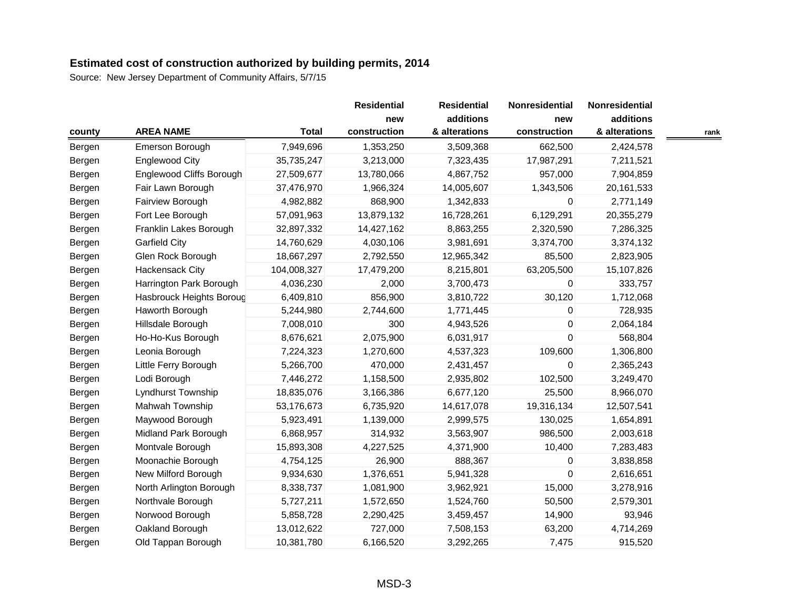|        |                          |              | <b>Residential</b> | <b>Residential</b> | Nonresidential | Nonresidential |      |
|--------|--------------------------|--------------|--------------------|--------------------|----------------|----------------|------|
|        |                          |              | new                | additions          | new            | additions      |      |
| county | <b>AREA NAME</b>         | <b>Total</b> | construction       | & alterations      | construction   | & alterations  | rank |
| Bergen | Emerson Borough          | 7,949,696    | 1,353,250          | 3,509,368          | 662,500        | 2,424,578      |      |
| Bergen | <b>Englewood City</b>    | 35,735,247   | 3,213,000          | 7,323,435          | 17,987,291     | 7,211,521      |      |
| Bergen | Englewood Cliffs Borough | 27,509,677   | 13,780,066         | 4,867,752          | 957,000        | 7,904,859      |      |
| Bergen | Fair Lawn Borough        | 37,476,970   | 1,966,324          | 14,005,607         | 1,343,506      | 20,161,533     |      |
| Bergen | Fairview Borough         | 4,982,882    | 868,900            | 1,342,833          | 0              | 2,771,149      |      |
| Bergen | Fort Lee Borough         | 57,091,963   | 13,879,132         | 16,728,261         | 6,129,291      | 20,355,279     |      |
| Bergen | Franklin Lakes Borough   | 32,897,332   | 14,427,162         | 8,863,255          | 2,320,590      | 7,286,325      |      |
| Bergen | <b>Garfield City</b>     | 14,760,629   | 4,030,106          | 3,981,691          | 3,374,700      | 3,374,132      |      |
| Bergen | Glen Rock Borough        | 18,667,297   | 2,792,550          | 12,965,342         | 85,500         | 2,823,905      |      |
| Bergen | Hackensack City          | 104,008,327  | 17,479,200         | 8,215,801          | 63,205,500     | 15,107,826     |      |
| Bergen | Harrington Park Borough  | 4,036,230    | 2,000              | 3,700,473          | 0              | 333,757        |      |
| Bergen | Hasbrouck Heights Boroug | 6,409,810    | 856,900            | 3,810,722          | 30,120         | 1,712,068      |      |
| Bergen | Haworth Borough          | 5,244,980    | 2,744,600          | 1,771,445          | 0              | 728,935        |      |
| Bergen | Hillsdale Borough        | 7,008,010    | 300                | 4,943,526          | 0              | 2,064,184      |      |
| Bergen | Ho-Ho-Kus Borough        | 8,676,621    | 2,075,900          | 6,031,917          | 0              | 568,804        |      |
| Bergen | Leonia Borough           | 7,224,323    | 1,270,600          | 4,537,323          | 109,600        | 1,306,800      |      |
| Bergen | Little Ferry Borough     | 5,266,700    | 470,000            | 2,431,457          | 0              | 2,365,243      |      |
| Bergen | Lodi Borough             | 7,446,272    | 1,158,500          | 2,935,802          | 102,500        | 3,249,470      |      |
| Bergen | Lyndhurst Township       | 18,835,076   | 3,166,386          | 6,677,120          | 25,500         | 8,966,070      |      |
| Bergen | Mahwah Township          | 53,176,673   | 6,735,920          | 14,617,078         | 19,316,134     | 12,507,541     |      |
| Bergen | Maywood Borough          | 5,923,491    | 1,139,000          | 2,999,575          | 130,025        | 1,654,891      |      |
| Bergen | Midland Park Borough     | 6,868,957    | 314,932            | 3,563,907          | 986,500        | 2,003,618      |      |
| Bergen | Montvale Borough         | 15,893,308   | 4,227,525          | 4,371,900          | 10,400         | 7,283,483      |      |
| Bergen | Moonachie Borough        | 4,754,125    | 26,900             | 888,367            | $\mathbf 0$    | 3,838,858      |      |
| Bergen | New Milford Borough      | 9,934,630    | 1,376,651          | 5,941,328          | 0              | 2,616,651      |      |
| Bergen | North Arlington Borough  | 8,338,737    | 1,081,900          | 3,962,921          | 15,000         | 3,278,916      |      |
| Bergen | Northvale Borough        | 5,727,211    | 1,572,650          | 1,524,760          | 50,500         | 2,579,301      |      |
| Bergen | Norwood Borough          | 5,858,728    | 2,290,425          | 3,459,457          | 14,900         | 93,946         |      |
| Bergen | Oakland Borough          | 13,012,622   | 727,000            | 7,508,153          | 63,200         | 4,714,269      |      |
| Bergen | Old Tappan Borough       | 10,381,780   | 6,166,520          | 3,292,265          | 7,475          | 915,520        |      |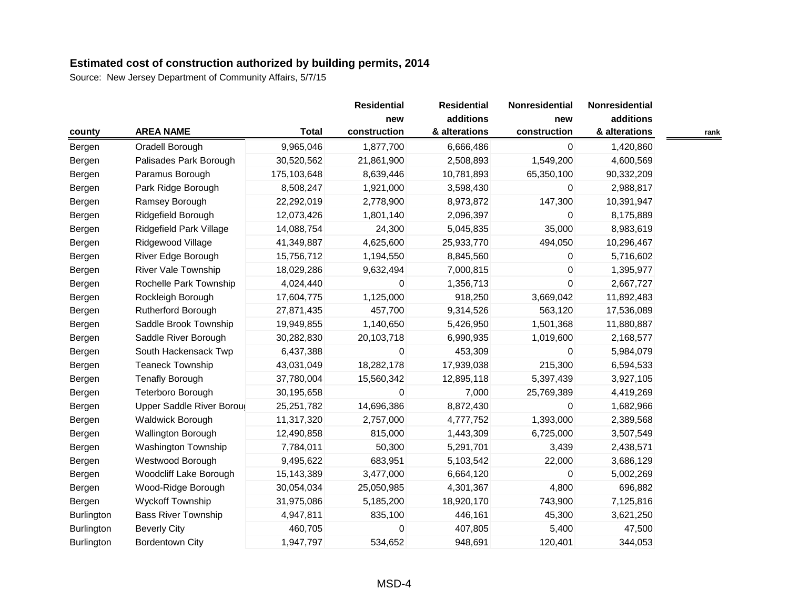|            |                            |              | <b>Residential</b> | <b>Residential</b> | Nonresidential | Nonresidential |      |
|------------|----------------------------|--------------|--------------------|--------------------|----------------|----------------|------|
|            |                            |              | new                | additions          | new            | additions      |      |
| county     | <b>AREA NAME</b>           | <b>Total</b> | construction       | & alterations      | construction   | & alterations  | rank |
| Bergen     | Oradell Borough            | 9,965,046    | 1,877,700          | 6,666,486          | 0              | 1,420,860      |      |
| Bergen     | Palisades Park Borough     | 30,520,562   | 21,861,900         | 2,508,893          | 1,549,200      | 4,600,569      |      |
| Bergen     | Paramus Borough            | 175,103,648  | 8,639,446          | 10,781,893         | 65,350,100     | 90,332,209     |      |
| Bergen     | Park Ridge Borough         | 8,508,247    | 1,921,000          | 3,598,430          | 0              | 2,988,817      |      |
| Bergen     | Ramsey Borough             | 22,292,019   | 2,778,900          | 8,973,872          | 147,300        | 10,391,947     |      |
| Bergen     | Ridgefield Borough         | 12,073,426   | 1,801,140          | 2,096,397          | 0              | 8,175,889      |      |
| Bergen     | Ridgefield Park Village    | 14,088,754   | 24,300             | 5,045,835          | 35,000         | 8,983,619      |      |
| Bergen     | Ridgewood Village          | 41,349,887   | 4,625,600          | 25,933,770         | 494,050        | 10,296,467     |      |
| Bergen     | River Edge Borough         | 15,756,712   | 1,194,550          | 8,845,560          | 0              | 5,716,602      |      |
| Bergen     | River Vale Township        | 18,029,286   | 9,632,494          | 7,000,815          | 0              | 1,395,977      |      |
| Bergen     | Rochelle Park Township     | 4,024,440    | 0                  | 1,356,713          | 0              | 2,667,727      |      |
| Bergen     | Rockleigh Borough          | 17,604,775   | 1,125,000          | 918,250            | 3,669,042      | 11,892,483     |      |
| Bergen     | Rutherford Borough         | 27,871,435   | 457,700            | 9,314,526          | 563,120        | 17,536,089     |      |
| Bergen     | Saddle Brook Township      | 19,949,855   | 1,140,650          | 5,426,950          | 1,501,368      | 11,880,887     |      |
| Bergen     | Saddle River Borough       | 30,282,830   | 20,103,718         | 6,990,935          | 1,019,600      | 2,168,577      |      |
| Bergen     | South Hackensack Twp       | 6,437,388    | $\pmb{0}$          | 453,309            | 0              | 5,984,079      |      |
| Bergen     | <b>Teaneck Township</b>    | 43,031,049   | 18,282,178         | 17,939,038         | 215,300        | 6,594,533      |      |
| Bergen     | <b>Tenafly Borough</b>     | 37,780,004   | 15,560,342         | 12,895,118         | 5,397,439      | 3,927,105      |      |
| Bergen     | Teterboro Borough          | 30,195,658   | 0                  | 7,000              | 25,769,389     | 4,419,269      |      |
| Bergen     | Upper Saddle River Boroug  | 25,251,782   | 14,696,386         | 8,872,430          | 0              | 1,682,966      |      |
| Bergen     | <b>Waldwick Borough</b>    | 11,317,320   | 2,757,000          | 4,777,752          | 1,393,000      | 2,389,568      |      |
| Bergen     | <b>Wallington Borough</b>  | 12,490,858   | 815,000            | 1,443,309          | 6,725,000      | 3,507,549      |      |
| Bergen     | Washington Township        | 7,784,011    | 50,300             | 5,291,701          | 3,439          | 2,438,571      |      |
| Bergen     | Westwood Borough           | 9,495,622    | 683,951            | 5,103,542          | 22,000         | 3,686,129      |      |
| Bergen     | Woodcliff Lake Borough     | 15,143,389   | 3,477,000          | 6,664,120          | $\Omega$       | 5,002,269      |      |
| Bergen     | Wood-Ridge Borough         | 30,054,034   | 25,050,985         | 4,301,367          | 4,800          | 696,882        |      |
| Bergen     | <b>Wyckoff Township</b>    | 31,975,086   | 5,185,200          | 18,920,170         | 743,900        | 7,125,816      |      |
| Burlington | <b>Bass River Township</b> | 4,947,811    | 835,100            | 446,161            | 45,300         | 3,621,250      |      |
| Burlington | <b>Beverly City</b>        | 460,705      | 0                  | 407,805            | 5,400          | 47,500         |      |
| Burlington | <b>Bordentown City</b>     | 1,947,797    | 534,652            | 948,691            | 120,401        | 344,053        |      |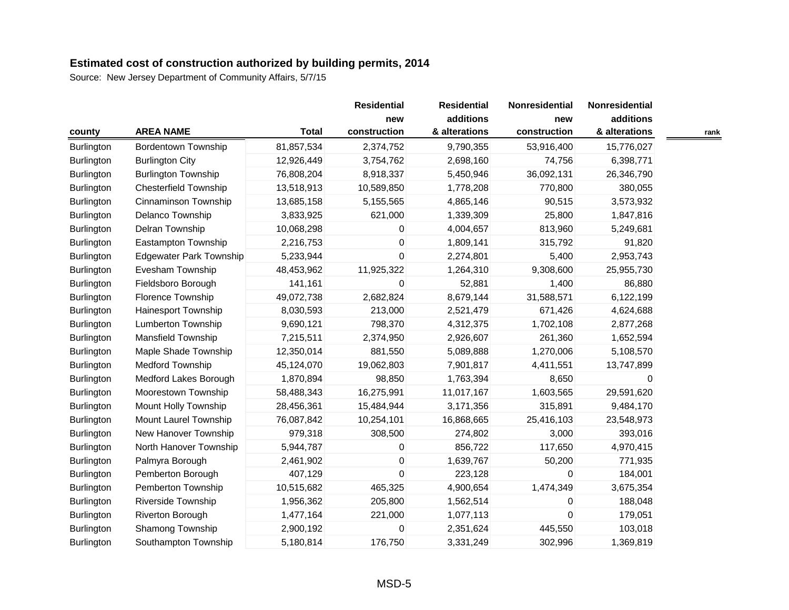|                   |                                |              | <b>Residential</b> | <b>Residential</b> | Nonresidential | Nonresidential |      |
|-------------------|--------------------------------|--------------|--------------------|--------------------|----------------|----------------|------|
|                   |                                |              | new                | additions          | new            | additions      |      |
| county            | <b>AREA NAME</b>               | <b>Total</b> | construction       | & alterations      | construction   | & alterations  | rank |
| Burlington        | <b>Bordentown Township</b>     | 81,857,534   | 2,374,752          | 9,790,355          | 53,916,400     | 15,776,027     |      |
| <b>Burlington</b> | <b>Burlington City</b>         | 12,926,449   | 3,754,762          | 2,698,160          | 74,756         | 6,398,771      |      |
| Burlington        | <b>Burlington Township</b>     | 76,808,204   | 8,918,337          | 5,450,946          | 36,092,131     | 26,346,790     |      |
| Burlington        | <b>Chesterfield Township</b>   | 13,518,913   | 10,589,850         | 1,778,208          | 770,800        | 380,055        |      |
| Burlington        | Cinnaminson Township           | 13,685,158   | 5,155,565          | 4,865,146          | 90,515         | 3,573,932      |      |
| Burlington        | Delanco Township               | 3,833,925    | 621,000            | 1,339,309          | 25,800         | 1,847,816      |      |
| Burlington        | Delran Township                | 10,068,298   | 0                  | 4,004,657          | 813,960        | 5,249,681      |      |
| Burlington        | Eastampton Township            | 2,216,753    | 0                  | 1,809,141          | 315,792        | 91,820         |      |
| Burlington        | <b>Edgewater Park Township</b> | 5,233,944    | 0                  | 2,274,801          | 5,400          | 2,953,743      |      |
| Burlington        | Evesham Township               | 48,453,962   | 11,925,322         | 1,264,310          | 9,308,600      | 25,955,730     |      |
| Burlington        | Fieldsboro Borough             | 141,161      | 0                  | 52,881             | 1,400          | 86,880         |      |
| Burlington        | Florence Township              | 49,072,738   | 2,682,824          | 8,679,144          | 31,588,571     | 6,122,199      |      |
| Burlington        | Hainesport Township            | 8,030,593    | 213,000            | 2,521,479          | 671,426        | 4,624,688      |      |
| Burlington        | Lumberton Township             | 9,690,121    | 798,370            | 4,312,375          | 1,702,108      | 2,877,268      |      |
| Burlington        | Mansfield Township             | 7,215,511    | 2,374,950          | 2,926,607          | 261,360        | 1,652,594      |      |
| <b>Burlington</b> | Maple Shade Township           | 12,350,014   | 881,550            | 5,089,888          | 1,270,006      | 5,108,570      |      |
| Burlington        | <b>Medford Township</b>        | 45,124,070   | 19,062,803         | 7,901,817          | 4,411,551      | 13,747,899     |      |
| Burlington        | Medford Lakes Borough          | 1,870,894    | 98,850             | 1,763,394          | 8,650          | 0              |      |
| Burlington        | Moorestown Township            | 58,488,343   | 16,275,991         | 11,017,167         | 1,603,565      | 29,591,620     |      |
| Burlington        | Mount Holly Township           | 28,456,361   | 15,484,944         | 3,171,356          | 315,891        | 9,484,170      |      |
| Burlington        | Mount Laurel Township          | 76,087,842   | 10,254,101         | 16,868,665         | 25,416,103     | 23,548,973     |      |
| Burlington        | New Hanover Township           | 979,318      | 308,500            | 274,802            | 3,000          | 393,016        |      |
| Burlington        | North Hanover Township         | 5,944,787    | 0                  | 856,722            | 117,650        | 4,970,415      |      |
| Burlington        | Palmyra Borough                | 2,461,902    | 0                  | 1,639,767          | 50,200         | 771,935        |      |
| Burlington        | Pemberton Borough              | 407,129      | $\overline{0}$     | 223,128            | 0              | 184,001        |      |
| Burlington        | Pemberton Township             | 10,515,682   | 465,325            | 4,900,654          | 1,474,349      | 3,675,354      |      |
| Burlington        | Riverside Township             | 1,956,362    | 205,800            | 1,562,514          | 0              | 188,048        |      |
| <b>Burlington</b> | Riverton Borough               | 1,477,164    | 221,000            | 1,077,113          | $\mathbf 0$    | 179,051        |      |
| Burlington        | Shamong Township               | 2,900,192    | 0                  | 2,351,624          | 445,550        | 103,018        |      |
| Burlington        | Southampton Township           | 5,180,814    | 176,750            | 3,331,249          | 302,996        | 1,369,819      |      |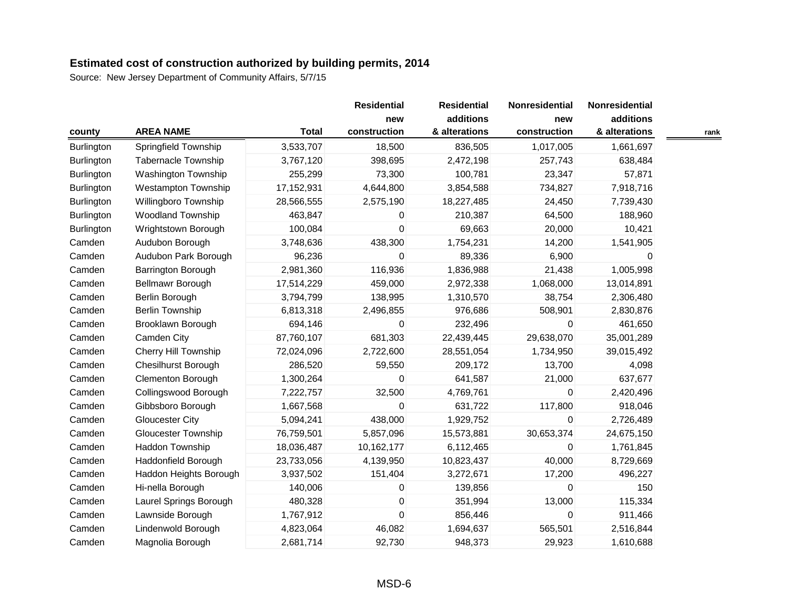|                   |                            |              | <b>Residential</b><br>new | <b>Residential</b><br>additions | Nonresidential<br>new | Nonresidential<br>additions |      |
|-------------------|----------------------------|--------------|---------------------------|---------------------------------|-----------------------|-----------------------------|------|
| county            | <b>AREA NAME</b>           | <b>Total</b> | construction              | & alterations                   | construction          | & alterations               | rank |
| <b>Burlington</b> | Springfield Township       | 3,533,707    | 18,500                    | 836,505                         | 1,017,005             | 1,661,697                   |      |
| <b>Burlington</b> | Tabernacle Township        | 3,767,120    | 398,695                   | 2,472,198                       | 257,743               | 638,484                     |      |
| Burlington        | Washington Township        | 255,299      | 73,300                    | 100,781                         | 23,347                | 57,871                      |      |
| Burlington        | <b>Westampton Township</b> | 17,152,931   | 4,644,800                 | 3,854,588                       | 734,827               | 7,918,716                   |      |
| Burlington        | Willingboro Township       | 28,566,555   | 2,575,190                 | 18,227,485                      | 24,450                | 7,739,430                   |      |
| Burlington        | <b>Woodland Township</b>   | 463,847      | 0                         | 210,387                         | 64,500                | 188,960                     |      |
| <b>Burlington</b> | Wrightstown Borough        | 100,084      | 0                         | 69,663                          | 20,000                | 10,421                      |      |
| Camden            | Audubon Borough            | 3,748,636    | 438,300                   | 1,754,231                       | 14,200                | 1,541,905                   |      |
| Camden            | Audubon Park Borough       | 96,236       | 0                         | 89,336                          | 6,900                 | 0                           |      |
| Camden            | Barrington Borough         | 2,981,360    | 116,936                   | 1,836,988                       | 21,438                | 1,005,998                   |      |
| Camden            | Bellmawr Borough           | 17,514,229   | 459,000                   | 2,972,338                       | 1,068,000             | 13,014,891                  |      |
| Camden            | Berlin Borough             | 3,794,799    | 138,995                   | 1,310,570                       | 38,754                | 2,306,480                   |      |
| Camden            | <b>Berlin Township</b>     | 6,813,318    | 2,496,855                 | 976,686                         | 508,901               | 2,830,876                   |      |
| Camden            | Brooklawn Borough          | 694,146      | 0                         | 232,496                         | $\Omega$              | 461,650                     |      |
| Camden            | Camden City                | 87,760,107   | 681,303                   | 22,439,445                      | 29,638,070            | 35,001,289                  |      |
| Camden            | Cherry Hill Township       | 72,024,096   | 2,722,600                 | 28,551,054                      | 1,734,950             | 39,015,492                  |      |
| Camden            | <b>Chesilhurst Borough</b> | 286,520      | 59,550                    | 209,172                         | 13,700                | 4,098                       |      |
| Camden            | Clementon Borough          | 1,300,264    | 0                         | 641,587                         | 21,000                | 637,677                     |      |
| Camden            | Collingswood Borough       | 7,222,757    | 32,500                    | 4,769,761                       | $\Omega$              | 2,420,496                   |      |
| Camden            | Gibbsboro Borough          | 1,667,568    | 0                         | 631,722                         | 117,800               | 918,046                     |      |
| Camden            | Gloucester City            | 5,094,241    | 438,000                   | 1,929,752                       | $\Omega$              | 2,726,489                   |      |
| Camden            | <b>Gloucester Township</b> | 76,759,501   | 5,857,096                 | 15,573,881                      | 30,653,374            | 24,675,150                  |      |
| Camden            | Haddon Township            | 18,036,487   | 10,162,177                | 6,112,465                       | 0                     | 1,761,845                   |      |
| Camden            | Haddonfield Borough        | 23,733,056   | 4,139,950                 | 10,823,437                      | 40,000                | 8,729,669                   |      |
| Camden            | Haddon Heights Borough     | 3,937,502    | 151,404                   | 3,272,671                       | 17,200                | 496,227                     |      |
| Camden            | Hi-nella Borough           | 140,006      | 0                         | 139,856                         | $\Omega$              | 150                         |      |
| Camden            | Laurel Springs Borough     | 480,328      | 0                         | 351,994                         | 13,000                | 115,334                     |      |
| Camden            | Lawnside Borough           | 1,767,912    | 0                         | 856,446                         | $\mathbf 0$           | 911,466                     |      |
| Camden            | Lindenwold Borough         | 4,823,064    | 46,082                    | 1,694,637                       | 565,501               | 2,516,844                   |      |
| Camden            | Magnolia Borough           | 2,681,714    | 92,730                    | 948,373                         | 29,923                | 1,610,688                   |      |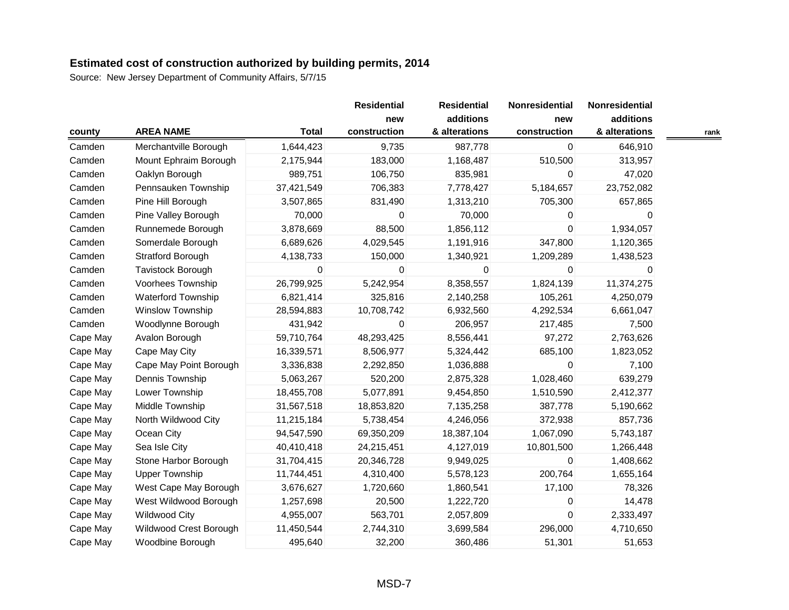|          |                          |              | <b>Residential</b>  | <b>Residential</b><br>additions | Nonresidential      | Nonresidential<br>additions |      |
|----------|--------------------------|--------------|---------------------|---------------------------------|---------------------|-----------------------------|------|
| county   | <b>AREA NAME</b>         | <b>Total</b> | new<br>construction | & alterations                   | new<br>construction | & alterations               | rank |
| Camden   | Merchantville Borough    | 1,644,423    | 9,735               | 987,778                         | 0                   | 646,910                     |      |
| Camden   | Mount Ephraim Borough    | 2,175,944    | 183,000             | 1,168,487                       | 510,500             | 313,957                     |      |
| Camden   | Oaklyn Borough           | 989,751      | 106,750             | 835,981                         | 0                   | 47,020                      |      |
| Camden   | Pennsauken Township      | 37,421,549   | 706,383             | 7,778,427                       | 5,184,657           | 23,752,082                  |      |
| Camden   | Pine Hill Borough        | 3,507,865    | 831,490             | 1,313,210                       | 705,300             | 657,865                     |      |
| Camden   | Pine Valley Borough      | 70,000       | 0                   | 70,000                          | $\Omega$            | 0                           |      |
| Camden   | Runnemede Borough        | 3,878,669    | 88,500              | 1,856,112                       | $\Omega$            | 1,934,057                   |      |
| Camden   | Somerdale Borough        | 6,689,626    | 4,029,545           | 1,191,916                       | 347,800             | 1,120,365                   |      |
| Camden   | <b>Stratford Borough</b> | 4,138,733    | 150,000             | 1,340,921                       | 1,209,289           | 1,438,523                   |      |
| Camden   | Tavistock Borough        | 0            | 0                   | $\overline{0}$                  | $\mathbf 0$         | 0                           |      |
| Camden   | Voorhees Township        | 26,799,925   | 5,242,954           | 8,358,557                       | 1,824,139           | 11,374,275                  |      |
| Camden   | Waterford Township       | 6,821,414    | 325,816             | 2,140,258                       | 105,261             | 4,250,079                   |      |
| Camden   | <b>Winslow Township</b>  | 28,594,883   | 10,708,742          | 6,932,560                       | 4,292,534           | 6,661,047                   |      |
| Camden   | Woodlynne Borough        | 431,942      | 0                   | 206,957                         | 217,485             | 7,500                       |      |
| Cape May | Avalon Borough           | 59,710,764   | 48,293,425          | 8,556,441                       | 97,272              | 2,763,626                   |      |
| Cape May | Cape May City            | 16,339,571   | 8,506,977           | 5,324,442                       | 685,100             | 1,823,052                   |      |
| Cape May | Cape May Point Borough   | 3,336,838    | 2,292,850           | 1,036,888                       | 0                   | 7,100                       |      |
| Cape May | Dennis Township          | 5,063,267    | 520,200             | 2,875,328                       | 1,028,460           | 639,279                     |      |
| Cape May | Lower Township           | 18,455,708   | 5,077,891           | 9,454,850                       | 1,510,590           | 2,412,377                   |      |
| Cape May | Middle Township          | 31,567,518   | 18,853,820          | 7,135,258                       | 387,778             | 5,190,662                   |      |
| Cape May | North Wildwood City      | 11,215,184   | 5,738,454           | 4,246,056                       | 372,938             | 857,736                     |      |
| Cape May | Ocean City               | 94,547,590   | 69,350,209          | 18,387,104                      | 1,067,090           | 5,743,187                   |      |
| Cape May | Sea Isle City            | 40,410,418   | 24,215,451          | 4,127,019                       | 10,801,500          | 1,266,448                   |      |
| Cape May | Stone Harbor Borough     | 31,704,415   | 20,346,728          | 9,949,025                       | $\mathbf 0$         | 1,408,662                   |      |
| Cape May | <b>Upper Township</b>    | 11,744,451   | 4,310,400           | 5,578,123                       | 200,764             | 1,655,164                   |      |
| Cape May | West Cape May Borough    | 3,676,627    | 1,720,660           | 1,860,541                       | 17,100              | 78,326                      |      |
| Cape May | West Wildwood Borough    | 1,257,698    | 20,500              | 1,222,720                       | 0                   | 14,478                      |      |
| Cape May | <b>Wildwood City</b>     | 4,955,007    | 563,701             | 2,057,809                       | $\mathbf 0$         | 2,333,497                   |      |
| Cape May | Wildwood Crest Borough   | 11,450,544   | 2,744,310           | 3,699,584                       | 296,000             | 4,710,650                   |      |
| Cape May | Woodbine Borough         | 495,640      | 32,200              | 360,486                         | 51,301              | 51,653                      |      |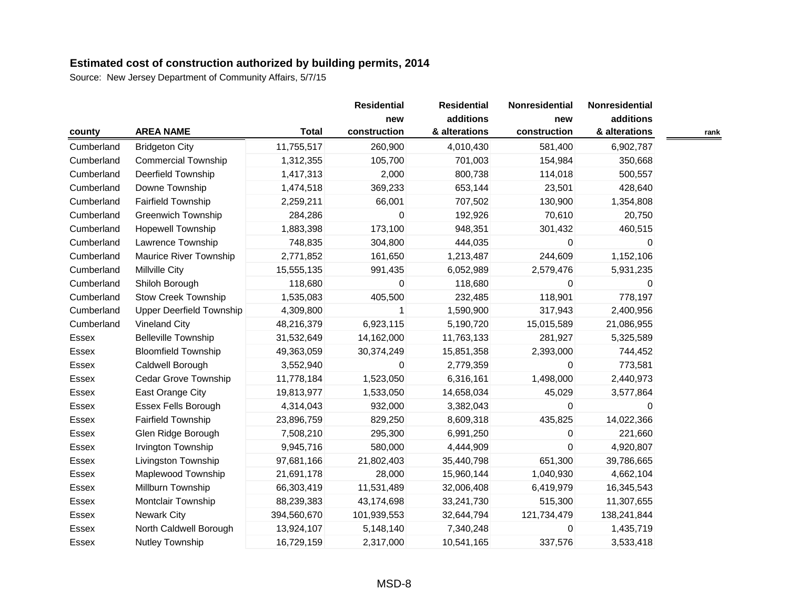|            |                                 |              | <b>Residential</b><br>new | <b>Residential</b><br>additions | Nonresidential<br>new | Nonresidential<br>additions |      |
|------------|---------------------------------|--------------|---------------------------|---------------------------------|-----------------------|-----------------------------|------|
| county     | <b>AREA NAME</b>                | <b>Total</b> | construction              | & alterations                   | construction          | & alterations               | rank |
| Cumberland | <b>Bridgeton City</b>           | 11,755,517   | 260,900                   | 4,010,430                       | 581,400               | 6,902,787                   |      |
| Cumberland | <b>Commercial Township</b>      | 1,312,355    | 105,700                   | 701,003                         | 154,984               | 350,668                     |      |
| Cumberland | Deerfield Township              | 1,417,313    | 2,000                     | 800,738                         | 114,018               | 500,557                     |      |
| Cumberland | Downe Township                  | 1,474,518    | 369,233                   | 653,144                         | 23,501                | 428,640                     |      |
| Cumberland | Fairfield Township              | 2,259,211    | 66,001                    | 707,502                         | 130,900               | 1,354,808                   |      |
| Cumberland | <b>Greenwich Township</b>       | 284,286      | 0                         | 192,926                         | 70,610                | 20,750                      |      |
| Cumberland | Hopewell Township               | 1,883,398    | 173,100                   | 948,351                         | 301,432               | 460,515                     |      |
| Cumberland | Lawrence Township               | 748,835      | 304,800                   | 444,035                         | 0                     | 0                           |      |
| Cumberland | Maurice River Township          | 2,771,852    | 161,650                   | 1,213,487                       | 244,609               | 1,152,106                   |      |
| Cumberland | <b>Millville City</b>           | 15,555,135   | 991,435                   | 6,052,989                       | 2,579,476             | 5,931,235                   |      |
| Cumberland | Shiloh Borough                  | 118,680      | 0                         | 118,680                         | 0                     | 0                           |      |
| Cumberland | <b>Stow Creek Township</b>      | 1,535,083    | 405,500                   | 232,485                         | 118,901               | 778,197                     |      |
| Cumberland | <b>Upper Deerfield Township</b> | 4,309,800    | 1                         | 1,590,900                       | 317,943               | 2,400,956                   |      |
| Cumberland | <b>Vineland City</b>            | 48,216,379   | 6,923,115                 | 5,190,720                       | 15,015,589            | 21,086,955                  |      |
| Essex      | <b>Belleville Township</b>      | 31,532,649   | 14,162,000                | 11,763,133                      | 281,927               | 5,325,589                   |      |
| Essex      | <b>Bloomfield Township</b>      | 49,363,059   | 30,374,249                | 15,851,358                      | 2,393,000             | 744,452                     |      |
| Essex      | Caldwell Borough                | 3,552,940    | 0                         | 2,779,359                       | 0                     | 773,581                     |      |
| Essex      | <b>Cedar Grove Township</b>     | 11,778,184   | 1,523,050                 | 6,316,161                       | 1,498,000             | 2,440,973                   |      |
| Essex      | East Orange City                | 19,813,977   | 1,533,050                 | 14,658,034                      | 45,029                | 3,577,864                   |      |
| Essex      | Essex Fells Borough             | 4,314,043    | 932,000                   | 3,382,043                       | 0                     | 0                           |      |
| Essex      | <b>Fairfield Township</b>       | 23,896,759   | 829,250                   | 8,609,318                       | 435,825               | 14,022,366                  |      |
| Essex      | Glen Ridge Borough              | 7,508,210    | 295,300                   | 6,991,250                       | 0                     | 221,660                     |      |
| Essex      | Irvington Township              | 9,945,716    | 580,000                   | 4,444,909                       | 0                     | 4,920,807                   |      |
| Essex      | Livingston Township             | 97,681,166   | 21,802,403                | 35,440,798                      | 651,300               | 39,786,665                  |      |
| Essex      | Maplewood Township              | 21,691,178   | 28,000                    | 15,960,144                      | 1,040,930             | 4,662,104                   |      |
| Essex      | Millburn Township               | 66,303,419   | 11,531,489                | 32,006,408                      | 6,419,979             | 16,345,543                  |      |
| Essex      | Montclair Township              | 88,239,383   | 43,174,698                | 33,241,730                      | 515,300               | 11,307,655                  |      |
| Essex      | <b>Newark City</b>              | 394,560,670  | 101,939,553               | 32,644,794                      | 121,734,479           | 138,241,844                 |      |
| Essex      | North Caldwell Borough          | 13,924,107   | 5,148,140                 | 7,340,248                       | 0                     | 1,435,719                   |      |
| Essex      | Nutley Township                 | 16,729,159   | 2,317,000                 | 10,541,165                      | 337,576               | 3,533,418                   |      |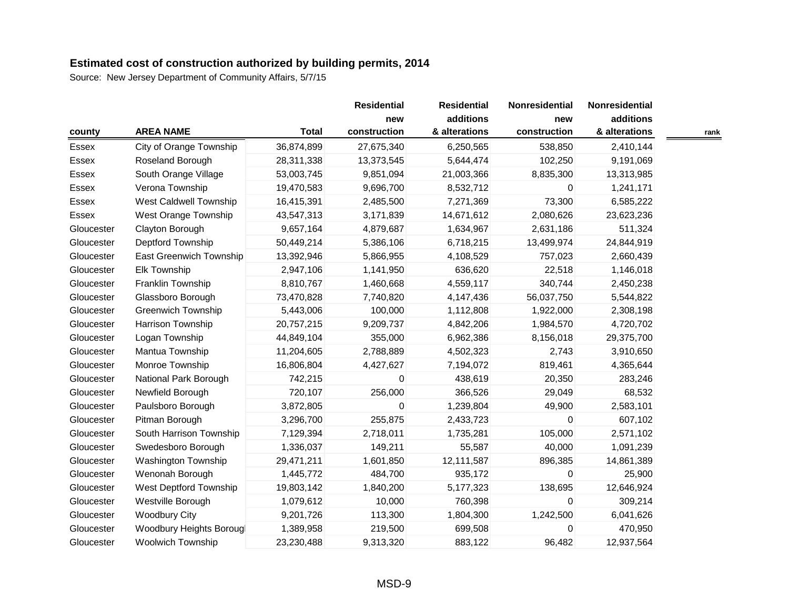|            |                               |              | <b>Residential</b>  | <b>Residential</b>         | Nonresidential      | <b>Nonresidential</b>      |      |
|------------|-------------------------------|--------------|---------------------|----------------------------|---------------------|----------------------------|------|
| county     | <b>AREA NAME</b>              | <b>Total</b> | new<br>construction | additions<br>& alterations | new<br>construction | additions<br>& alterations | rank |
| Essex      | City of Orange Township       | 36,874,899   | 27,675,340          | 6,250,565                  | 538,850             | 2,410,144                  |      |
| Essex      | Roseland Borough              | 28,311,338   | 13,373,545          | 5,644,474                  | 102,250             | 9,191,069                  |      |
| Essex      | South Orange Village          | 53,003,745   | 9,851,094           | 21,003,366                 | 8,835,300           | 13,313,985                 |      |
| Essex      | Verona Township               | 19,470,583   | 9,696,700           | 8,532,712                  | $\Omega$            | 1,241,171                  |      |
| Essex      | <b>West Caldwell Township</b> | 16,415,391   | 2,485,500           | 7,271,369                  | 73,300              | 6,585,222                  |      |
| Essex      | West Orange Township          | 43,547,313   | 3,171,839           | 14,671,612                 | 2,080,626           | 23,623,236                 |      |
| Gloucester | Clayton Borough               | 9,657,164    | 4,879,687           | 1,634,967                  | 2,631,186           | 511,324                    |      |
| Gloucester | Deptford Township             | 50,449,214   | 5,386,106           | 6,718,215                  | 13,499,974          | 24,844,919                 |      |
| Gloucester | East Greenwich Township       | 13,392,946   | 5,866,955           | 4,108,529                  | 757,023             | 2,660,439                  |      |
| Gloucester | Elk Township                  | 2,947,106    | 1,141,950           | 636,620                    | 22,518              | 1,146,018                  |      |
| Gloucester | Franklin Township             | 8,810,767    | 1,460,668           | 4,559,117                  | 340,744             | 2,450,238                  |      |
| Gloucester | Glassboro Borough             | 73,470,828   | 7,740,820           | 4,147,436                  | 56,037,750          | 5,544,822                  |      |
| Gloucester | <b>Greenwich Township</b>     | 5,443,006    | 100,000             | 1,112,808                  | 1,922,000           | 2,308,198                  |      |
| Gloucester | Harrison Township             | 20,757,215   | 9,209,737           | 4,842,206                  | 1,984,570           | 4,720,702                  |      |
| Gloucester | Logan Township                | 44,849,104   | 355,000             | 6,962,386                  | 8,156,018           | 29,375,700                 |      |
| Gloucester | Mantua Township               | 11,204,605   | 2,788,889           | 4,502,323                  | 2,743               | 3,910,650                  |      |
| Gloucester | Monroe Township               | 16,806,804   | 4,427,627           | 7,194,072                  | 819,461             | 4,365,644                  |      |
| Gloucester | National Park Borough         | 742,215      | 0                   | 438,619                    | 20,350              | 283,246                    |      |
| Gloucester | Newfield Borough              | 720,107      | 256,000             | 366,526                    | 29,049              | 68,532                     |      |
| Gloucester | Paulsboro Borough             | 3,872,805    | 0                   | 1,239,804                  | 49,900              | 2,583,101                  |      |
| Gloucester | Pitman Borough                | 3,296,700    | 255,875             | 2,433,723                  | $\Omega$            | 607,102                    |      |
| Gloucester | South Harrison Township       | 7,129,394    | 2,718,011           | 1,735,281                  | 105,000             | 2,571,102                  |      |
| Gloucester | Swedesboro Borough            | 1,336,037    | 149,211             | 55,587                     | 40,000              | 1,091,239                  |      |
| Gloucester | Washington Township           | 29,471,211   | 1,601,850           | 12,111,587                 | 896,385             | 14,861,389                 |      |
| Gloucester | Wenonah Borough               | 1,445,772    | 484,700             | 935,172                    | $\Omega$            | 25,900                     |      |
| Gloucester | West Deptford Township        | 19,803,142   | 1,840,200           | 5,177,323                  | 138,695             | 12,646,924                 |      |
| Gloucester | Westville Borough             | 1,079,612    | 10,000              | 760,398                    | 0                   | 309,214                    |      |
| Gloucester | <b>Woodbury City</b>          | 9,201,726    | 113,300             | 1,804,300                  | 1,242,500           | 6,041,626                  |      |
| Gloucester | Woodbury Heights Borougl      | 1,389,958    | 219,500             | 699,508                    | 0                   | 470,950                    |      |
| Gloucester | <b>Woolwich Township</b>      | 23,230,488   | 9,313,320           | 883,122                    | 96,482              | 12,937,564                 |      |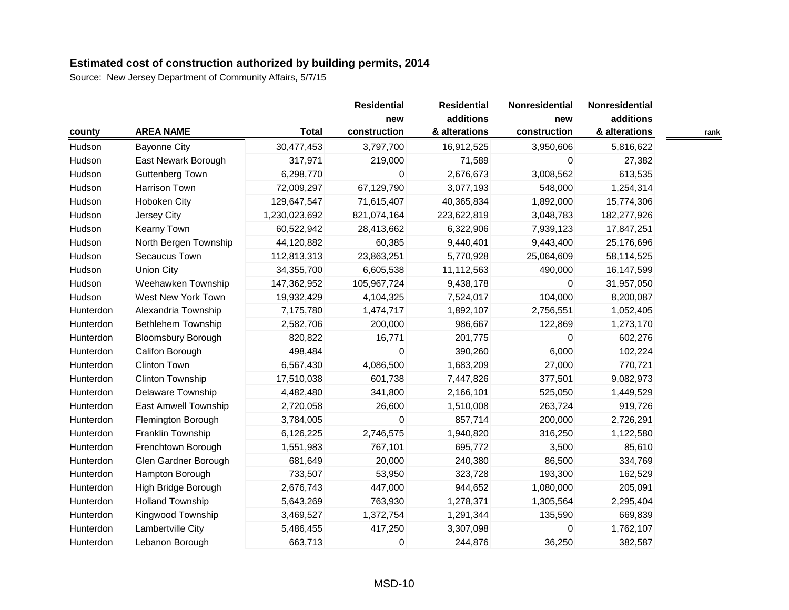|           |                           |               | <b>Residential</b>  | <b>Residential</b>         | Nonresidential      | Nonresidential             |      |
|-----------|---------------------------|---------------|---------------------|----------------------------|---------------------|----------------------------|------|
|           | <b>AREA NAME</b>          | <b>Total</b>  | new<br>construction | additions<br>& alterations | new<br>construction | additions<br>& alterations |      |
| county    |                           |               |                     |                            |                     |                            | rank |
| Hudson    | <b>Bayonne City</b>       | 30,477,453    | 3,797,700           | 16,912,525                 | 3,950,606           | 5,816,622                  |      |
| Hudson    | East Newark Borough       | 317,971       | 219,000             | 71,589                     | 0                   | 27,382                     |      |
| Hudson    | <b>Guttenberg Town</b>    | 6,298,770     | 0                   | 2,676,673                  | 3,008,562           | 613,535                    |      |
| Hudson    | Harrison Town             | 72,009,297    | 67,129,790          | 3,077,193                  | 548,000             | 1,254,314                  |      |
| Hudson    | Hoboken City              | 129,647,547   | 71,615,407          | 40,365,834                 | 1,892,000           | 15,774,306                 |      |
| Hudson    | Jersey City               | 1,230,023,692 | 821,074,164         | 223,622,819                | 3,048,783           | 182,277,926                |      |
| Hudson    | Kearny Town               | 60,522,942    | 28,413,662          | 6,322,906                  | 7,939,123           | 17,847,251                 |      |
| Hudson    | North Bergen Township     | 44,120,882    | 60,385              | 9,440,401                  | 9,443,400           | 25,176,696                 |      |
| Hudson    | Secaucus Town             | 112,813,313   | 23,863,251          | 5,770,928                  | 25,064,609          | 58,114,525                 |      |
| Hudson    | <b>Union City</b>         | 34,355,700    | 6,605,538           | 11,112,563                 | 490,000             | 16,147,599                 |      |
| Hudson    | Weehawken Township        | 147,362,952   | 105,967,724         | 9,438,178                  | 0                   | 31,957,050                 |      |
| Hudson    | West New York Town        | 19,932,429    | 4,104,325           | 7,524,017                  | 104,000             | 8,200,087                  |      |
| Hunterdon | Alexandria Township       | 7,175,780     | 1,474,717           | 1,892,107                  | 2,756,551           | 1,052,405                  |      |
| Hunterdon | <b>Bethlehem Township</b> | 2,582,706     | 200,000             | 986,667                    | 122,869             | 1,273,170                  |      |
| Hunterdon | <b>Bloomsbury Borough</b> | 820,822       | 16,771              | 201,775                    | $\Omega$            | 602,276                    |      |
| Hunterdon | Califon Borough           | 498,484       | 0                   | 390,260                    | 6,000               | 102,224                    |      |
| Hunterdon | Clinton Town              | 6,567,430     | 4,086,500           | 1,683,209                  | 27,000              | 770,721                    |      |
| Hunterdon | Clinton Township          | 17,510,038    | 601,738             | 7,447,826                  | 377,501             | 9,082,973                  |      |
| Hunterdon | Delaware Township         | 4,482,480     | 341,800             | 2,166,101                  | 525,050             | 1,449,529                  |      |
| Hunterdon | East Amwell Township      | 2,720,058     | 26,600              | 1,510,008                  | 263,724             | 919,726                    |      |
| Hunterdon | Flemington Borough        | 3,784,005     | 0                   | 857,714                    | 200,000             | 2,726,291                  |      |
| Hunterdon | Franklin Township         | 6,126,225     | 2,746,575           | 1,940,820                  | 316,250             | 1,122,580                  |      |
| Hunterdon | Frenchtown Borough        | 1,551,983     | 767,101             | 695,772                    | 3,500               | 85,610                     |      |
| Hunterdon | Glen Gardner Borough      | 681,649       | 20,000              | 240,380                    | 86,500              | 334,769                    |      |
| Hunterdon | Hampton Borough           | 733,507       | 53,950              | 323,728                    | 193,300             | 162,529                    |      |
| Hunterdon | High Bridge Borough       | 2,676,743     | 447,000             | 944,652                    | 1,080,000           | 205,091                    |      |
| Hunterdon | <b>Holland Township</b>   | 5,643,269     | 763,930             | 1,278,371                  | 1,305,564           | 2,295,404                  |      |
| Hunterdon | Kingwood Township         | 3,469,527     | 1,372,754           | 1,291,344                  | 135,590             | 669,839                    |      |
| Hunterdon | Lambertville City         | 5,486,455     | 417,250             | 3,307,098                  | $\mathbf 0$         | 1,762,107                  |      |
| Hunterdon | Lebanon Borough           | 663,713       | 0                   | 244,876                    | 36,250              | 382,587                    |      |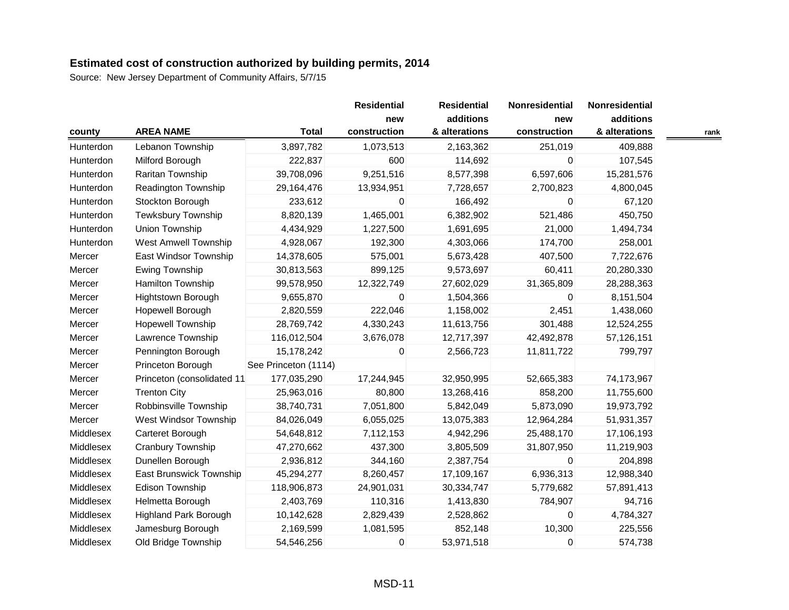| county    | <b>AREA NAME</b>             | <b>Total</b>         | <b>Residential</b><br>new<br>construction | <b>Residential</b><br>additions<br>& alterations | Nonresidential<br>new<br>construction | Nonresidential<br>additions<br>& alterations | rank |
|-----------|------------------------------|----------------------|-------------------------------------------|--------------------------------------------------|---------------------------------------|----------------------------------------------|------|
| Hunterdon | Lebanon Township             | 3,897,782            | 1,073,513                                 | 2,163,362                                        | 251,019                               | 409,888                                      |      |
| Hunterdon | Milford Borough              | 222,837              | 600                                       | 114,692                                          | 0                                     | 107,545                                      |      |
| Hunterdon | Raritan Township             | 39,708,096           | 9,251,516                                 | 8,577,398                                        | 6,597,606                             | 15,281,576                                   |      |
| Hunterdon | Readington Township          | 29,164,476           | 13,934,951                                | 7,728,657                                        | 2,700,823                             | 4,800,045                                    |      |
| Hunterdon | Stockton Borough             | 233,612              | 0                                         | 166,492                                          | 0                                     | 67,120                                       |      |
| Hunterdon | Tewksbury Township           | 8,820,139            | 1,465,001                                 | 6,382,902                                        | 521,486                               | 450,750                                      |      |
| Hunterdon | Union Township               | 4,434,929            | 1,227,500                                 | 1,691,695                                        | 21,000                                | 1,494,734                                    |      |
| Hunterdon | <b>West Amwell Township</b>  | 4,928,067            | 192,300                                   | 4,303,066                                        | 174,700                               | 258,001                                      |      |
| Mercer    | East Windsor Township        | 14,378,605           | 575,001                                   | 5,673,428                                        | 407,500                               | 7,722,676                                    |      |
| Mercer    | Ewing Township               | 30,813,563           | 899,125                                   | 9,573,697                                        | 60,411                                | 20,280,330                                   |      |
| Mercer    | Hamilton Township            | 99,578,950           | 12,322,749                                | 27,602,029                                       | 31,365,809                            | 28,288,363                                   |      |
| Mercer    | Hightstown Borough           | 9,655,870            | 0                                         | 1,504,366                                        | $\Omega$                              | 8,151,504                                    |      |
| Mercer    | Hopewell Borough             | 2,820,559            | 222,046                                   | 1,158,002                                        | 2,451                                 | 1,438,060                                    |      |
| Mercer    | <b>Hopewell Township</b>     | 28,769,742           | 4,330,243                                 | 11,613,756                                       | 301,488                               | 12,524,255                                   |      |
| Mercer    | Lawrence Township            | 116,012,504          | 3,676,078                                 | 12,717,397                                       | 42,492,878                            | 57,126,151                                   |      |
| Mercer    | Pennington Borough           | 15,178,242           | 0                                         | 2,566,723                                        | 11,811,722                            | 799,797                                      |      |
| Mercer    | Princeton Borough            | See Princeton (1114) |                                           |                                                  |                                       |                                              |      |
| Mercer    | Princeton (consolidated 11   | 177,035,290          | 17,244,945                                | 32,950,995                                       | 52,665,383                            | 74,173,967                                   |      |
| Mercer    | <b>Trenton City</b>          | 25,963,016           | 80,800                                    | 13,268,416                                       | 858,200                               | 11,755,600                                   |      |
| Mercer    | Robbinsville Township        | 38,740,731           | 7,051,800                                 | 5,842,049                                        | 5,873,090                             | 19,973,792                                   |      |
| Mercer    | West Windsor Township        | 84,026,049           | 6,055,025                                 | 13,075,383                                       | 12,964,284                            | 51,931,357                                   |      |
| Middlesex | Carteret Borough             | 54,648,812           | 7,112,153                                 | 4,942,296                                        | 25,488,170                            | 17,106,193                                   |      |
| Middlesex | Cranbury Township            | 47,270,662           | 437,300                                   | 3,805,509                                        | 31,807,950                            | 11,219,903                                   |      |
| Middlesex | Dunellen Borough             | 2,936,812            | 344,160                                   | 2,387,754                                        | $\mathbf 0$                           | 204,898                                      |      |
| Middlesex | East Brunswick Township      | 45,294,277           | 8,260,457                                 | 17,109,167                                       | 6,936,313                             | 12,988,340                                   |      |
| Middlesex | Edison Township              | 118,906,873          | 24,901,031                                | 30,334,747                                       | 5,779,682                             | 57,891,413                                   |      |
| Middlesex | Helmetta Borough             | 2,403,769            | 110,316                                   | 1,413,830                                        | 784,907                               | 94,716                                       |      |
| Middlesex | <b>Highland Park Borough</b> | 10,142,628           | 2,829,439                                 | 2,528,862                                        | $\mathbf 0$                           | 4,784,327                                    |      |
| Middlesex | Jamesburg Borough            | 2,169,599            | 1,081,595                                 | 852,148                                          | 10,300                                | 225,556                                      |      |
| Middlesex | Old Bridge Township          | 54,546,256           | 0                                         | 53,971,518                                       | $\mathbf 0$                           | 574,738                                      |      |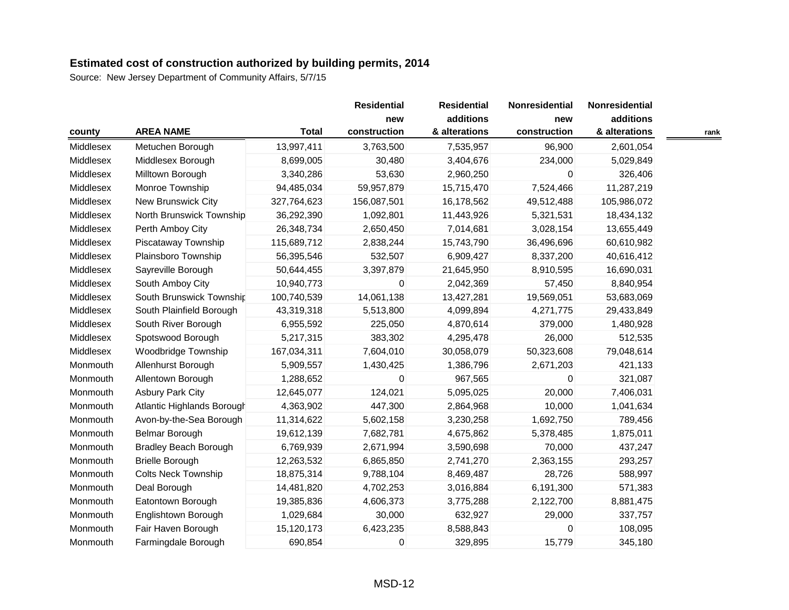|           |                              |              | <b>Residential</b>  | <b>Residential</b>         | Nonresidential      | Nonresidential             |      |
|-----------|------------------------------|--------------|---------------------|----------------------------|---------------------|----------------------------|------|
|           | <b>AREA NAME</b>             | <b>Total</b> | new<br>construction | additions<br>& alterations | new<br>construction | additions<br>& alterations |      |
| county    |                              |              |                     |                            |                     |                            | rank |
| Middlesex | Metuchen Borough             | 13,997,411   | 3,763,500           | 7,535,957                  | 96,900              | 2,601,054                  |      |
| Middlesex | Middlesex Borough            | 8,699,005    | 30,480              | 3,404,676                  | 234,000             | 5,029,849                  |      |
| Middlesex | Milltown Borough             | 3,340,286    | 53,630              | 2,960,250                  | $\mathbf 0$         | 326,406                    |      |
| Middlesex | Monroe Township              | 94,485,034   | 59,957,879          | 15,715,470                 | 7,524,466           | 11,287,219                 |      |
| Middlesex | New Brunswick City           | 327,764,623  | 156,087,501         | 16,178,562                 | 49,512,488          | 105,986,072                |      |
| Middlesex | North Brunswick Township     | 36,292,390   | 1,092,801           | 11,443,926                 | 5,321,531           | 18,434,132                 |      |
| Middlesex | Perth Amboy City             | 26,348,734   | 2,650,450           | 7,014,681                  | 3,028,154           | 13,655,449                 |      |
| Middlesex | Piscataway Township          | 115,689,712  | 2,838,244           | 15,743,790                 | 36,496,696          | 60,610,982                 |      |
| Middlesex | Plainsboro Township          | 56,395,546   | 532,507             | 6,909,427                  | 8,337,200           | 40,616,412                 |      |
| Middlesex | Sayreville Borough           | 50,644,455   | 3,397,879           | 21,645,950                 | 8,910,595           | 16,690,031                 |      |
| Middlesex | South Amboy City             | 10,940,773   | 0                   | 2,042,369                  | 57,450              | 8,840,954                  |      |
| Middlesex | South Brunswick Township     | 100,740,539  | 14,061,138          | 13,427,281                 | 19,569,051          | 53,683,069                 |      |
| Middlesex | South Plainfield Borough     | 43,319,318   | 5,513,800           | 4,099,894                  | 4,271,775           | 29,433,849                 |      |
| Middlesex | South River Borough          | 6,955,592    | 225,050             | 4,870,614                  | 379,000             | 1,480,928                  |      |
| Middlesex | Spotswood Borough            | 5,217,315    | 383,302             | 4,295,478                  | 26,000              | 512,535                    |      |
| Middlesex | Woodbridge Township          | 167,034,311  | 7,604,010           | 30,058,079                 | 50,323,608          | 79,048,614                 |      |
| Monmouth  | Allenhurst Borough           | 5,909,557    | 1,430,425           | 1,386,796                  | 2,671,203           | 421,133                    |      |
| Monmouth  | Allentown Borough            | 1,288,652    | 0                   | 967,565                    | 0                   | 321,087                    |      |
| Monmouth  | <b>Asbury Park City</b>      | 12,645,077   | 124,021             | 5,095,025                  | 20,000              | 7,406,031                  |      |
| Monmouth  | Atlantic Highlands Borough   | 4,363,902    | 447,300             | 2,864,968                  | 10,000              | 1,041,634                  |      |
| Monmouth  | Avon-by-the-Sea Borough      | 11,314,622   | 5,602,158           | 3,230,258                  | 1,692,750           | 789,456                    |      |
| Monmouth  | Belmar Borough               | 19,612,139   | 7,682,781           | 4,675,862                  | 5,378,485           | 1,875,011                  |      |
| Monmouth  | <b>Bradley Beach Borough</b> | 6,769,939    | 2,671,994           | 3,590,698                  | 70,000              | 437,247                    |      |
| Monmouth  | <b>Brielle Borough</b>       | 12,263,532   | 6,865,850           | 2,741,270                  | 2,363,155           | 293,257                    |      |
| Monmouth  | <b>Colts Neck Township</b>   | 18,875,314   | 9,788,104           | 8,469,487                  | 28,726              | 588,997                    |      |
| Monmouth  | Deal Borough                 | 14,481,820   | 4,702,253           | 3,016,884                  | 6,191,300           | 571,383                    |      |
| Monmouth  | Eatontown Borough            | 19,385,836   | 4,606,373           | 3,775,288                  | 2,122,700           | 8,881,475                  |      |
| Monmouth  | Englishtown Borough          | 1,029,684    | 30,000              | 632,927                    | 29,000              | 337,757                    |      |
| Monmouth  | Fair Haven Borough           | 15,120,173   | 6,423,235           | 8,588,843                  | $\Omega$            | 108,095                    |      |
| Monmouth  | Farmingdale Borough          | 690,854      | 0                   | 329,895                    | 15,779              | 345,180                    |      |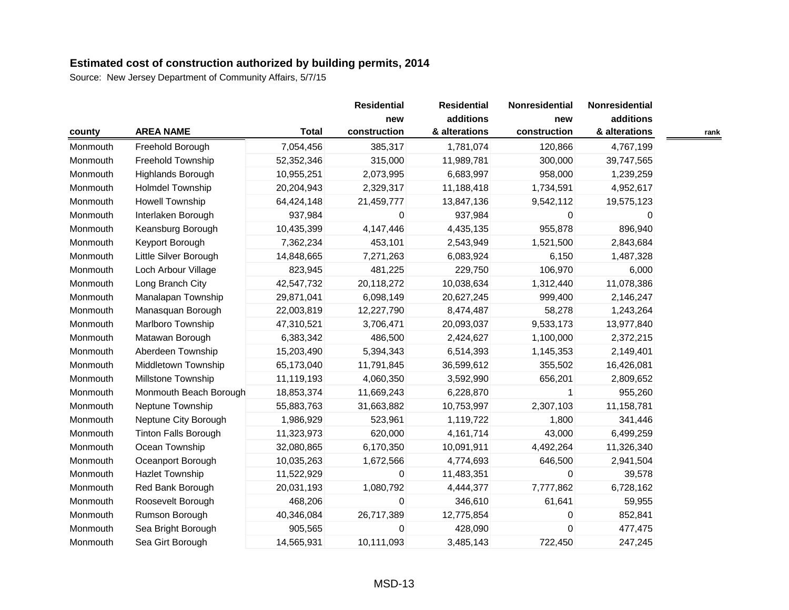| county   |                             |              | <b>Residential</b><br>new | <b>Residential</b><br>additions | Nonresidential | Nonresidential |      |
|----------|-----------------------------|--------------|---------------------------|---------------------------------|----------------|----------------|------|
|          |                             |              |                           |                                 | new            | additions      |      |
|          | <b>AREA NAME</b>            | <b>Total</b> | construction              | & alterations                   | construction   | & alterations  | rank |
| Monmouth | Freehold Borough            | 7,054,456    | 385,317                   | 1,781,074                       | 120,866        | 4,767,199      |      |
| Monmouth | Freehold Township           | 52,352,346   | 315,000                   | 11,989,781                      | 300,000        | 39,747,565     |      |
| Monmouth | <b>Highlands Borough</b>    | 10,955,251   | 2,073,995                 | 6,683,997                       | 958,000        | 1,239,259      |      |
| Monmouth | <b>Holmdel Township</b>     | 20,204,943   | 2,329,317                 | 11,188,418                      | 1,734,591      | 4,952,617      |      |
| Monmouth | <b>Howell Township</b>      | 64,424,148   | 21,459,777                | 13,847,136                      | 9,542,112      | 19,575,123     |      |
| Monmouth | Interlaken Borough          | 937,984      | 0                         | 937,984                         | $\Omega$       | 0              |      |
| Monmouth | Keansburg Borough           | 10,435,399   | 4,147,446                 | 4,435,135                       | 955,878        | 896,940        |      |
| Monmouth | Keyport Borough             | 7,362,234    | 453,101                   | 2,543,949                       | 1,521,500      | 2,843,684      |      |
| Monmouth | Little Silver Borough       | 14,848,665   | 7,271,263                 | 6,083,924                       | 6,150          | 1,487,328      |      |
| Monmouth | Loch Arbour Village         | 823,945      | 481,225                   | 229,750                         | 106,970        | 6,000          |      |
| Monmouth | Long Branch City            | 42,547,732   | 20,118,272                | 10,038,634                      | 1,312,440      | 11,078,386     |      |
| Monmouth | Manalapan Township          | 29,871,041   | 6,098,149                 | 20,627,245                      | 999,400        | 2,146,247      |      |
| Monmouth | Manasquan Borough           | 22,003,819   | 12,227,790                | 8,474,487                       | 58,278         | 1,243,264      |      |
| Monmouth | Marlboro Township           | 47,310,521   | 3,706,471                 | 20,093,037                      | 9,533,173      | 13,977,840     |      |
| Monmouth | Matawan Borough             | 6,383,342    | 486,500                   | 2,424,627                       | 1,100,000      | 2,372,215      |      |
| Monmouth | Aberdeen Township           | 15,203,490   | 5,394,343                 | 6,514,393                       | 1,145,353      | 2,149,401      |      |
| Monmouth | Middletown Township         | 65,173,040   | 11,791,845                | 36,599,612                      | 355,502        | 16,426,081     |      |
| Monmouth | Millstone Township          | 11,119,193   | 4,060,350                 | 3,592,990                       | 656,201        | 2,809,652      |      |
| Monmouth | Monmouth Beach Borough      | 18,853,374   | 11,669,243                | 6,228,870                       | $\mathbf 1$    | 955,260        |      |
| Monmouth | Neptune Township            | 55,883,763   | 31,663,882                | 10,753,997                      | 2,307,103      | 11,158,781     |      |
| Monmouth | Neptune City Borough        | 1,986,929    | 523,961                   | 1,119,722                       | 1,800          | 341,446        |      |
| Monmouth | <b>Tinton Falls Borough</b> | 11,323,973   | 620,000                   | 4,161,714                       | 43,000         | 6,499,259      |      |
| Monmouth | Ocean Township              | 32,080,865   | 6,170,350                 | 10,091,911                      | 4,492,264      | 11,326,340     |      |
| Monmouth | Oceanport Borough           | 10,035,263   | 1,672,566                 | 4,774,693                       | 646,500        | 2,941,504      |      |
| Monmouth | <b>Hazlet Township</b>      | 11,522,929   | 0                         | 11,483,351                      | $\mathbf 0$    | 39,578         |      |
| Monmouth | Red Bank Borough            | 20,031,193   | 1,080,792                 | 4,444,377                       | 7,777,862      | 6,728,162      |      |
| Monmouth | Roosevelt Borough           | 468,206      | $\mathbf 0$               | 346,610                         | 61,641         | 59,955         |      |
| Monmouth | Rumson Borough              | 40,346,084   | 26,717,389                | 12,775,854                      | $\mathbf 0$    | 852,841        |      |
| Monmouth | Sea Bright Borough          | 905,565      | 0                         | 428,090                         | $\Omega$       | 477,475        |      |
| Monmouth | Sea Girt Borough            | 14,565,931   | 10,111,093                | 3,485,143                       | 722,450        | 247,245        |      |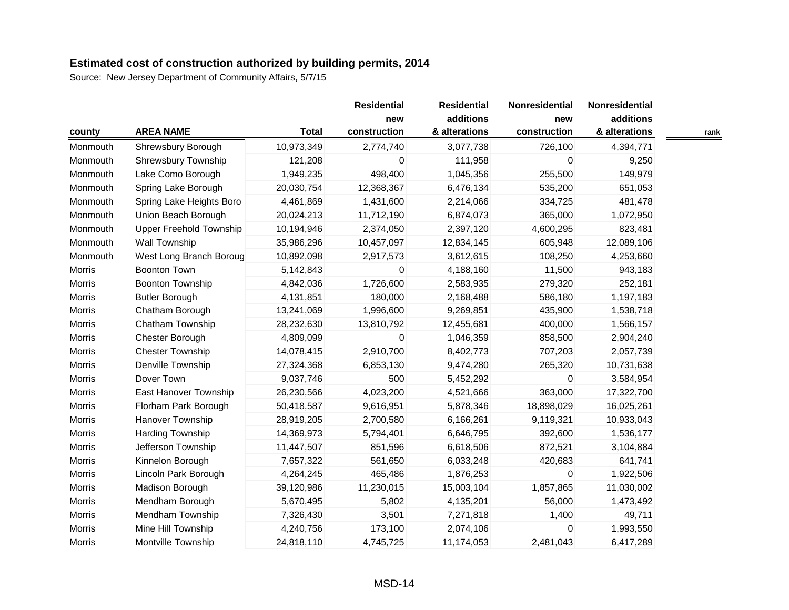|               |                                |              | <b>Residential</b><br>new | <b>Residential</b><br>additions | Nonresidential<br>new | Nonresidential<br>additions |      |
|---------------|--------------------------------|--------------|---------------------------|---------------------------------|-----------------------|-----------------------------|------|
| county        | <b>AREA NAME</b>               | <b>Total</b> | construction              | & alterations                   | construction          | & alterations               | rank |
| Monmouth      | Shrewsbury Borough             | 10,973,349   | 2,774,740                 | 3,077,738                       | 726,100               | 4,394,771                   |      |
| Monmouth      | Shrewsbury Township            | 121,208      | 0                         | 111,958                         | 0                     | 9,250                       |      |
| Monmouth      | Lake Como Borough              | 1,949,235    | 498,400                   | 1,045,356                       | 255,500               | 149,979                     |      |
| Monmouth      | Spring Lake Borough            | 20,030,754   | 12,368,367                | 6,476,134                       | 535,200               | 651,053                     |      |
| Monmouth      | Spring Lake Heights Boro       | 4,461,869    | 1,431,600                 | 2,214,066                       | 334,725               | 481,478                     |      |
| Monmouth      | Union Beach Borough            | 20,024,213   | 11,712,190                | 6,874,073                       | 365,000               | 1,072,950                   |      |
| Monmouth      | <b>Upper Freehold Township</b> | 10,194,946   | 2,374,050                 | 2,397,120                       | 4,600,295             | 823,481                     |      |
| Monmouth      | Wall Township                  | 35,986,296   | 10,457,097                | 12,834,145                      | 605,948               | 12,089,106                  |      |
| Monmouth      | West Long Branch Boroug        | 10,892,098   | 2,917,573                 | 3,612,615                       | 108,250               | 4,253,660                   |      |
| <b>Morris</b> | <b>Boonton Town</b>            | 5,142,843    | 0                         | 4,188,160                       | 11,500                | 943,183                     |      |
| Morris        | <b>Boonton Township</b>        | 4,842,036    | 1,726,600                 | 2,583,935                       | 279,320               | 252,181                     |      |
| Morris        | <b>Butler Borough</b>          | 4,131,851    | 180,000                   | 2,168,488                       | 586,180               | 1,197,183                   |      |
| <b>Morris</b> | Chatham Borough                | 13,241,069   | 1,996,600                 | 9,269,851                       | 435,900               | 1,538,718                   |      |
| Morris        | Chatham Township               | 28,232,630   | 13,810,792                | 12,455,681                      | 400,000               | 1,566,157                   |      |
| Morris        | Chester Borough                | 4,809,099    | 0                         | 1,046,359                       | 858,500               | 2,904,240                   |      |
| <b>Morris</b> | <b>Chester Township</b>        | 14,078,415   | 2,910,700                 | 8,402,773                       | 707,203               | 2,057,739                   |      |
| Morris        | Denville Township              | 27,324,368   | 6,853,130                 | 9,474,280                       | 265,320               | 10,731,638                  |      |
| Morris        | Dover Town                     | 9,037,746    | 500                       | 5,452,292                       | $\mathbf 0$           | 3,584,954                   |      |
| Morris        | East Hanover Township          | 26,230,566   | 4,023,200                 | 4,521,666                       | 363,000               | 17,322,700                  |      |
| Morris        | Florham Park Borough           | 50,418,587   | 9,616,951                 | 5,878,346                       | 18,898,029            | 16,025,261                  |      |
| Morris        | Hanover Township               | 28,919,205   | 2,700,580                 | 6,166,261                       | 9,119,321             | 10,933,043                  |      |
| Morris        | Harding Township               | 14,369,973   | 5,794,401                 | 6,646,795                       | 392,600               | 1,536,177                   |      |
| <b>Morris</b> | Jefferson Township             | 11,447,507   | 851,596                   | 6,618,506                       | 872,521               | 3,104,884                   |      |
| Morris        | Kinnelon Borough               | 7,657,322    | 561,650                   | 6,033,248                       | 420,683               | 641,741                     |      |
| Morris        | Lincoln Park Borough           | 4,264,245    | 465,486                   | 1,876,253                       | $\Omega$              | 1,922,506                   |      |
| Morris        | Madison Borough                | 39,120,986   | 11,230,015                | 15,003,104                      | 1,857,865             | 11,030,002                  |      |
| <b>Morris</b> | Mendham Borough                | 5,670,495    | 5,802                     | 4,135,201                       | 56,000                | 1,473,492                   |      |
| Morris        | Mendham Township               | 7,326,430    | 3,501                     | 7,271,818                       | 1,400                 | 49,711                      |      |
| Morris        | Mine Hill Township             | 4,240,756    | 173,100                   | 2,074,106                       | $\mathbf 0$           | 1,993,550                   |      |
| Morris        | Montville Township             | 24,818,110   | 4,745,725                 | 11,174,053                      | 2,481,043             | 6,417,289                   |      |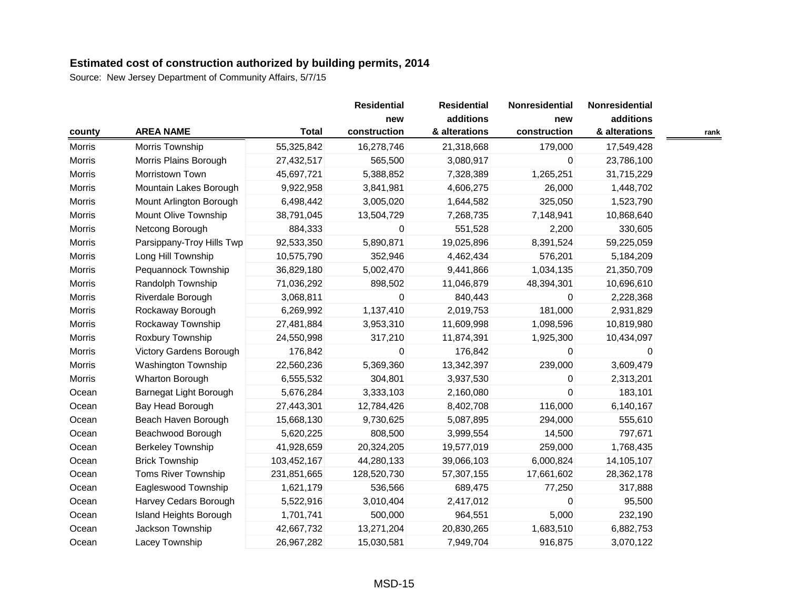|               |                               |              | <b>Residential</b><br>new<br>construction | <b>Residential</b><br>additions | Nonresidential      | Nonresidential<br>additions |      |
|---------------|-------------------------------|--------------|-------------------------------------------|---------------------------------|---------------------|-----------------------------|------|
| county        | <b>AREA NAME</b>              | <b>Total</b> |                                           | & alterations                   | new<br>construction | & alterations               | rank |
| Morris        | Morris Township               | 55,325,842   | 16,278,746                                | 21,318,668                      | 179,000             | 17,549,428                  |      |
| Morris        | Morris Plains Borough         | 27,432,517   | 565,500                                   | 3,080,917                       | 0                   | 23,786,100                  |      |
| <b>Morris</b> | Morristown Town               | 45,697,721   | 5,388,852                                 | 7,328,389                       | 1,265,251           | 31,715,229                  |      |
| Morris        | Mountain Lakes Borough        | 9,922,958    | 3,841,981                                 | 4,606,275                       | 26,000              | 1,448,702                   |      |
| <b>Morris</b> | Mount Arlington Borough       | 6,498,442    | 3,005,020                                 | 1,644,582                       | 325,050             | 1,523,790                   |      |
| <b>Morris</b> | Mount Olive Township          | 38,791,045   | 13,504,729                                | 7,268,735                       | 7,148,941           | 10,868,640                  |      |
| Morris        | Netcong Borough               | 884,333      | 0                                         | 551,528                         | 2,200               | 330,605                     |      |
| Morris        | Parsippany-Troy Hills Twp     | 92,533,350   | 5,890,871                                 | 19,025,896                      | 8,391,524           | 59,225,059                  |      |
| <b>Morris</b> | Long Hill Township            | 10,575,790   | 352,946                                   | 4,462,434                       | 576,201             | 5,184,209                   |      |
| Morris        | Pequannock Township           | 36,829,180   | 5,002,470                                 | 9,441,866                       | 1,034,135           | 21,350,709                  |      |
| Morris        | Randolph Township             | 71,036,292   | 898,502                                   | 11,046,879                      | 48,394,301          | 10,696,610                  |      |
| Morris        | Riverdale Borough             | 3,068,811    | 0                                         | 840,443                         | $\Omega$            | 2,228,368                   |      |
| Morris        | Rockaway Borough              | 6,269,992    | 1,137,410                                 | 2,019,753                       | 181,000             | 2,931,829                   |      |
| Morris        | Rockaway Township             | 27,481,884   | 3,953,310                                 | 11,609,998                      | 1,098,596           | 10,819,980                  |      |
| <b>Morris</b> | Roxbury Township              | 24,550,998   | 317,210                                   | 11,874,391                      | 1,925,300           | 10,434,097                  |      |
| Morris        | Victory Gardens Borough       | 176,842      | 0                                         | 176,842                         | 0                   | 0                           |      |
| <b>Morris</b> | Washington Township           | 22,560,236   | 5,369,360                                 | 13,342,397                      | 239,000             | 3,609,479                   |      |
| <b>Morris</b> | Wharton Borough               | 6,555,532    | 304,801                                   | 3,937,530                       | 0                   | 2,313,201                   |      |
| Ocean         | Barnegat Light Borough        | 5,676,284    | 3,333,103                                 | 2,160,080                       | $\Omega$            | 183,101                     |      |
| Ocean         | Bay Head Borough              | 27,443,301   | 12,784,426                                | 8,402,708                       | 116,000             | 6,140,167                   |      |
| Ocean         | Beach Haven Borough           | 15,668,130   | 9,730,625                                 | 5,087,895                       | 294,000             | 555,610                     |      |
| Ocean         | Beachwood Borough             | 5,620,225    | 808,500                                   | 3,999,554                       | 14,500              | 797,671                     |      |
| Ocean         | <b>Berkeley Township</b>      | 41,928,659   | 20,324,205                                | 19,577,019                      | 259,000             | 1,768,435                   |      |
| Ocean         | <b>Brick Township</b>         | 103,452,167  | 44,280,133                                | 39,066,103                      | 6,000,824           | 14,105,107                  |      |
| Ocean         | Toms River Township           | 231,851,665  | 128,520,730                               | 57,307,155                      | 17,661,602          | 28,362,178                  |      |
| Ocean         | Eagleswood Township           | 1,621,179    | 536,566                                   | 689,475                         | 77,250              | 317,888                     |      |
| Ocean         | Harvey Cedars Borough         | 5,522,916    | 3,010,404                                 | 2,417,012                       | 0                   | 95,500                      |      |
| Ocean         | <b>Island Heights Borough</b> | 1,701,741    | 500,000                                   | 964,551                         | 5,000               | 232,190                     |      |
| Ocean         | Jackson Township              | 42,667,732   | 13,271,204                                | 20,830,265                      | 1,683,510           | 6,882,753                   |      |
| Ocean         | Lacey Township                | 26,967,282   | 15,030,581                                | 7,949,704                       | 916,875             | 3,070,122                   |      |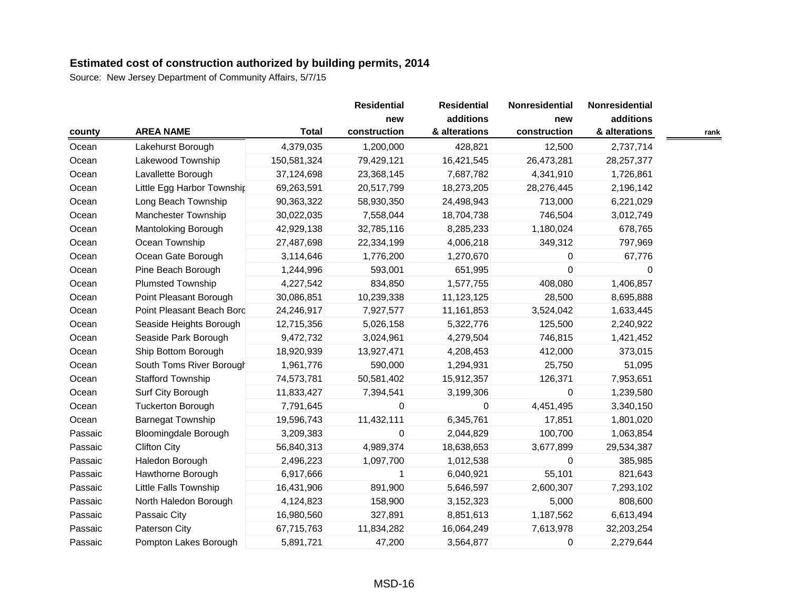|         |                             |                  | <b>Residential</b> | <b>Residential</b>  | Nonresidential             | Nonresidential      |                            |      |
|---------|-----------------------------|------------------|--------------------|---------------------|----------------------------|---------------------|----------------------------|------|
| county  |                             | <b>AREA NAME</b> | <b>Total</b>       | new<br>construction | additions<br>& alterations | new<br>construction | additions<br>& alterations | rank |
| Ocean   | Lakehurst Borough           | 4,379,035        | 1,200,000          | 428,821             | 12,500                     | 2,737,714           |                            |      |
| Ocean   | Lakewood Township           | 150,581,324      | 79,429,121         | 16,421,545          | 26,473,281                 | 28,257,377          |                            |      |
| Ocean   | Lavallette Borough          | 37,124,698       | 23,368,145         | 7,687,782           | 4,341,910                  | 1,726,861           |                            |      |
| Ocean   | Little Egg Harbor Township  | 69,263,591       | 20,517,799         | 18,273,205          | 28,276,445                 | 2,196,142           |                            |      |
| Ocean   | Long Beach Township         | 90,363,322       | 58,930,350         | 24,498,943          | 713,000                    | 6,221,029           |                            |      |
| Ocean   | Manchester Township         | 30,022,035       | 7,558,044          | 18,704,738          | 746,504                    | 3,012,749           |                            |      |
| Ocean   | Mantoloking Borough         | 42,929,138       | 32,785,116         | 8,285,233           | 1,180,024                  | 678,765             |                            |      |
| Ocean   | Ocean Township              | 27,487,698       | 22,334,199         | 4,006,218           | 349,312                    | 797,969             |                            |      |
| Ocean   | Ocean Gate Borough          | 3,114,646        | 1,776,200          | 1,270,670           | 0                          | 67,776              |                            |      |
| Ocean   | Pine Beach Borough          | 1,244,996        | 593,001            | 651,995             | $\Omega$                   | 0                   |                            |      |
| Ocean   | <b>Plumsted Township</b>    | 4,227,542        | 834,850            | 1,577,755           | 408,080                    | 1,406,857           |                            |      |
| Ocean   | Point Pleasant Borough      | 30,086,851       | 10,239,338         | 11,123,125          | 28,500                     | 8,695,888           |                            |      |
| Ocean   | Point Pleasant Beach Bord   | 24,246,917       | 7,927,577          | 11,161,853          | 3,524,042                  | 1,633,445           |                            |      |
| Ocean   | Seaside Heights Borough     | 12,715,356       | 5,026,158          | 5,322,776           | 125,500                    | 2,240,922           |                            |      |
| Ocean   | Seaside Park Borough        | 9,472,732        | 3,024,961          | 4,279,504           | 746,815                    | 1,421,452           |                            |      |
| Ocean   | Ship Bottom Borough         | 18,920,939       | 13,927,471         | 4,208,453           | 412,000                    | 373,015             |                            |      |
| Ocean   | South Toms River Borough    | 1,961,776        | 590,000            | 1,294,931           | 25,750                     | 51,095              |                            |      |
| Ocean   | <b>Stafford Township</b>    | 74,573,781       | 50,581,402         | 15,912,357          | 126,371                    | 7,953,651           |                            |      |
| Ocean   | Surf City Borough           | 11,833,427       | 7,394,541          | 3,199,306           | $\mathbf 0$                | 1,239,580           |                            |      |
| Ocean   | <b>Tuckerton Borough</b>    | 7,791,645        | 0                  | $\mathbf{0}$        | 4,451,495                  | 3,340,150           |                            |      |
| Ocean   | <b>Barnegat Township</b>    | 19,596,743       | 11,432,111         | 6,345,761           | 17,851                     | 1,801,020           |                            |      |
| Passaic | <b>Bloomingdale Borough</b> | 3,209,383        | 0                  | 2,044,829           | 100,700                    | 1,063,854           |                            |      |
| Passaic | <b>Clifton City</b>         | 56,840,313       | 4,989,374          | 18,638,653          | 3,677,899                  | 29,534,387          |                            |      |
| Passaic | Haledon Borough             | 2,496,223        | 1,097,700          | 1,012,538           | $\mathbf 0$                | 385,985             |                            |      |
| Passaic | Hawthorne Borough           | 6,917,666        | 1                  | 6,040,921           | 55,101                     | 821,643             |                            |      |
| Passaic | Little Falls Township       | 16,431,906       | 891,900            | 5,646,597           | 2,600,307                  | 7,293,102           |                            |      |
| Passaic | North Haledon Borough       | 4,124,823        | 158,900            | 3,152,323           | 5,000                      | 808,600             |                            |      |
| Passaic | Passaic City                | 16,980,560       | 327,891            | 8,851,613           | 1,187,562                  | 6,613,494           |                            |      |
| Passaic | Paterson City               | 67,715,763       | 11,834,282         | 16,064,249          | 7,613,978                  | 32,203,254          |                            |      |
| Passaic | Pompton Lakes Borough       | 5,891,721        | 47,200             | 3,564,877           | $\mathbf 0$                | 2,279,644           |                            |      |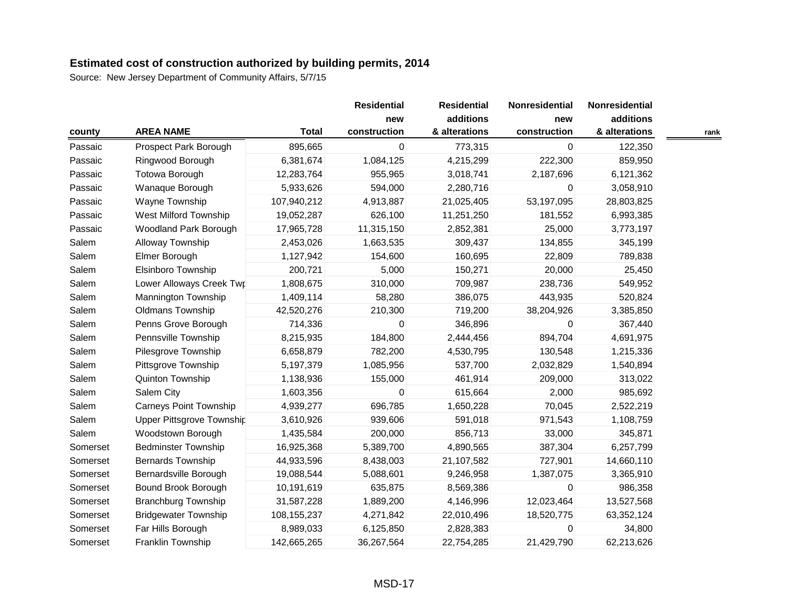| county   |                             |               | <b>Residential</b> | <b>Residential</b> | Nonresidential | Nonresidential |      |
|----------|-----------------------------|---------------|--------------------|--------------------|----------------|----------------|------|
|          |                             |               | new                | additions          | new            | additions      |      |
|          | <b>AREA NAME</b>            | <b>Total</b>  | construction       | & alterations      | construction   | & alterations  | rank |
| Passaic  | Prospect Park Borough       | 895,665       | 0                  | 773,315            | 0              | 122,350        |      |
| Passaic  | Ringwood Borough            | 6,381,674     | 1,084,125          | 4,215,299          | 222,300        | 859,950        |      |
| Passaic  | Totowa Borough              | 12,283,764    | 955,965            | 3,018,741          | 2,187,696      | 6,121,362      |      |
| Passaic  | Wanaque Borough             | 5,933,626     | 594,000            | 2,280,716          | 0              | 3,058,910      |      |
| Passaic  | Wayne Township              | 107,940,212   | 4,913,887          | 21,025,405         | 53,197,095     | 28,803,825     |      |
| Passaic  | West Milford Township       | 19,052,287    | 626,100            | 11,251,250         | 181,552        | 6,993,385      |      |
| Passaic  | Woodland Park Borough       | 17,965,728    | 11,315,150         | 2,852,381          | 25,000         | 3,773,197      |      |
| Salem    | Alloway Township            | 2,453,026     | 1,663,535          | 309,437            | 134,855        | 345,199        |      |
| Salem    | Elmer Borough               | 1,127,942     | 154,600            | 160,695            | 22,809         | 789,838        |      |
| Salem    | Elsinboro Township          | 200,721       | 5,000              | 150,271            | 20,000         | 25,450         |      |
| Salem    | Lower Alloways Creek Twr    | 1,808,675     | 310,000            | 709,987            | 238,736        | 549,952        |      |
| Salem    | Mannington Township         | 1,409,114     | 58,280             | 386,075            | 443,935        | 520,824        |      |
| Salem    | <b>Oldmans Township</b>     | 42,520,276    | 210,300            | 719,200            | 38,204,926     | 3,385,850      |      |
| Salem    | Penns Grove Borough         | 714,336       | 0                  | 346,896            | 0              | 367,440        |      |
| Salem    | Pennsville Township         | 8,215,935     | 184,800            | 2,444,456          | 894,704        | 4,691,975      |      |
| Salem    | Pilesgrove Township         | 6,658,879     | 782,200            | 4,530,795          | 130,548        | 1,215,336      |      |
| Salem    | Pittsgrove Township         | 5,197,379     | 1,085,956          | 537,700            | 2,032,829      | 1,540,894      |      |
| Salem    | Quinton Township            | 1,138,936     | 155,000            | 461,914            | 209,000        | 313,022        |      |
| Salem    | Salem City                  | 1,603,356     | 0                  | 615,664            | 2,000          | 985,692        |      |
| Salem    | Carneys Point Township      | 4,939,277     | 696,785            | 1,650,228          | 70,045         | 2,522,219      |      |
| Salem    | Upper Pittsgrove Township   | 3,610,926     | 939,606            | 591,018            | 971,543        | 1,108,759      |      |
| Salem    | Woodstown Borough           | 1,435,584     | 200,000            | 856,713            | 33,000         | 345,871        |      |
| Somerset | <b>Bedminster Township</b>  | 16,925,368    | 5,389,700          | 4,890,565          | 387,304        | 6,257,799      |      |
| Somerset | <b>Bernards Township</b>    | 44,933,596    | 8,438,003          | 21,107,582         | 727,901        | 14,660,110     |      |
| Somerset | Bernardsville Borough       | 19,088,544    | 5,088,601          | 9,246,958          | 1,387,075      | 3,365,910      |      |
| Somerset | Bound Brook Borough         | 10,191,619    | 635,875            | 8,569,386          | $\Omega$       | 986,358        |      |
| Somerset | <b>Branchburg Township</b>  | 31,587,228    | 1,889,200          | 4,146,996          | 12,023,464     | 13,527,568     |      |
| Somerset | <b>Bridgewater Township</b> | 108, 155, 237 | 4,271,842          | 22,010,496         | 18,520,775     | 63,352,124     |      |
| Somerset | Far Hills Borough           | 8,989,033     | 6,125,850          | 2,828,383          | 0              | 34,800         |      |
| Somerset | Franklin Township           | 142,665,265   | 36,267,564         | 22,754,285         | 21,429,790     | 62,213,626     |      |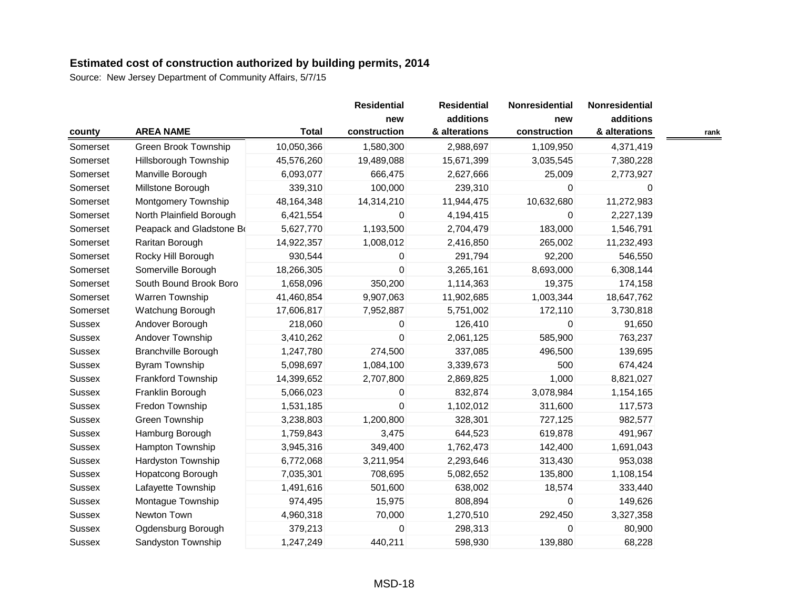| county        |                            |              | <b>Residential</b>  | <b>Residential</b>         | Nonresidential      | Nonresidential             |      |
|---------------|----------------------------|--------------|---------------------|----------------------------|---------------------|----------------------------|------|
|               | <b>AREA NAME</b>           | <b>Total</b> | new<br>construction | additions<br>& alterations | new<br>construction | additions<br>& alterations | rank |
| Somerset      | Green Brook Township       | 10,050,366   | 1,580,300           | 2,988,697                  | 1,109,950           | 4,371,419                  |      |
| Somerset      | Hillsborough Township      | 45,576,260   | 19,489,088          | 15,671,399                 | 3,035,545           | 7,380,228                  |      |
| Somerset      | Manville Borough           | 6,093,077    | 666,475             | 2,627,666                  | 25,009              | 2,773,927                  |      |
| Somerset      | Millstone Borough          | 339,310      | 100,000             | 239,310                    | $\Omega$            | 0                          |      |
| Somerset      | Montgomery Township        | 48,164,348   | 14,314,210          | 11,944,475                 | 10,632,680          | 11,272,983                 |      |
| Somerset      | North Plainfield Borough   | 6,421,554    | 0                   | 4,194,415                  | $\Omega$            | 2,227,139                  |      |
| Somerset      | Peapack and Gladstone Bo   | 5,627,770    | 1,193,500           | 2,704,479                  | 183,000             | 1,546,791                  |      |
| Somerset      | Raritan Borough            | 14,922,357   | 1,008,012           | 2,416,850                  | 265,002             | 11,232,493                 |      |
| Somerset      | Rocky Hill Borough         | 930,544      | 0                   | 291,794                    | 92,200              | 546,550                    |      |
| Somerset      | Somerville Borough         | 18,266,305   | 0                   | 3,265,161                  | 8,693,000           | 6,308,144                  |      |
| Somerset      | South Bound Brook Boro     | 1,658,096    | 350,200             | 1,114,363                  | 19,375              | 174,158                    |      |
| Somerset      | Warren Township            | 41,460,854   | 9,907,063           | 11,902,685                 | 1,003,344           | 18,647,762                 |      |
| Somerset      | Watchung Borough           | 17,606,817   | 7,952,887           | 5,751,002                  | 172,110             | 3,730,818                  |      |
| <b>Sussex</b> | Andover Borough            | 218,060      | 0                   | 126,410                    | $\Omega$            | 91,650                     |      |
| <b>Sussex</b> | Andover Township           | 3,410,262    | 0                   | 2,061,125                  | 585,900             | 763,237                    |      |
| Sussex        | <b>Branchville Borough</b> | 1,247,780    | 274,500             | 337,085                    | 496,500             | 139,695                    |      |
| Sussex        | Byram Township             | 5,098,697    | 1,084,100           | 3,339,673                  | 500                 | 674,424                    |      |
| Sussex        | Frankford Township         | 14,399,652   | 2,707,800           | 2,869,825                  | 1,000               | 8,821,027                  |      |
| <b>Sussex</b> | Franklin Borough           | 5,066,023    | 0                   | 832,874                    | 3,078,984           | 1,154,165                  |      |
| Sussex        | Fredon Township            | 1,531,185    | 0                   | 1,102,012                  | 311,600             | 117,573                    |      |
| <b>Sussex</b> | Green Township             | 3,238,803    | 1,200,800           | 328,301                    | 727,125             | 982,577                    |      |
| <b>Sussex</b> | Hamburg Borough            | 1,759,843    | 3,475               | 644,523                    | 619,878             | 491,967                    |      |
| <b>Sussex</b> | Hampton Township           | 3,945,316    | 349,400             | 1,762,473                  | 142,400             | 1,691,043                  |      |
| <b>Sussex</b> | Hardyston Township         | 6,772,068    | 3,211,954           | 2,293,646                  | 313,430             | 953,038                    |      |
| <b>Sussex</b> | Hopatcong Borough          | 7,035,301    | 708,695             | 5,082,652                  | 135,800             | 1,108,154                  |      |
| Sussex        | Lafayette Township         | 1,491,616    | 501,600             | 638,002                    | 18,574              | 333,440                    |      |
| Sussex        | Montague Township          | 974,495      | 15,975              | 808,894                    | $\mathbf 0$         | 149,626                    |      |
| <b>Sussex</b> | Newton Town                | 4,960,318    | 70,000              | 1,270,510                  | 292,450             | 3,327,358                  |      |
| Sussex        | Ogdensburg Borough         | 379,213      | 0                   | 298,313                    | $\Omega$            | 80,900                     |      |
| <b>Sussex</b> | Sandyston Township         | 1,247,249    | 440,211             | 598,930                    | 139,880             | 68,228                     |      |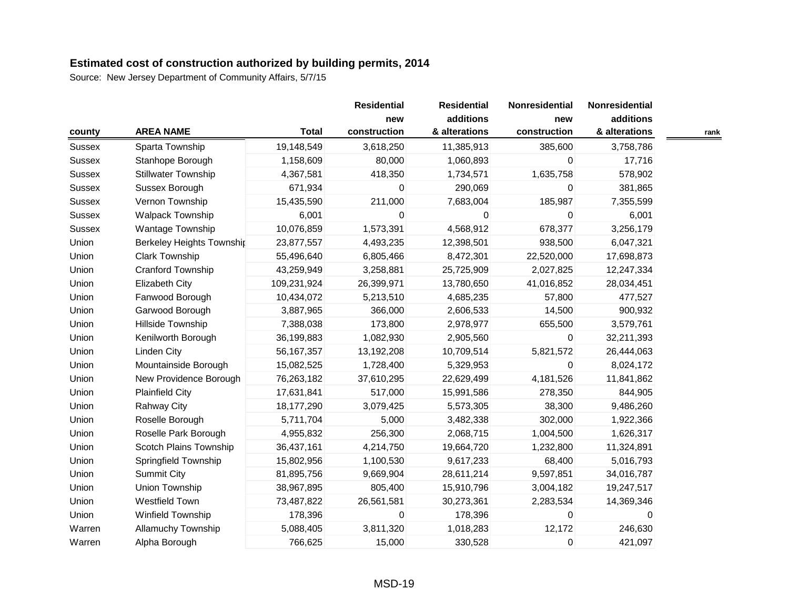| county        |                                  |              | <b>Residential</b>  | <b>Residential</b>         | Nonresidential      | Nonresidential             |      |
|---------------|----------------------------------|--------------|---------------------|----------------------------|---------------------|----------------------------|------|
|               | <b>AREA NAME</b>                 | <b>Total</b> | new<br>construction | additions<br>& alterations | new<br>construction | additions<br>& alterations | rank |
| Sussex        | Sparta Township                  | 19,148,549   | 3,618,250           | 11,385,913                 | 385,600             | 3,758,786                  |      |
| Sussex        | Stanhope Borough                 | 1,158,609    | 80,000              | 1,060,893                  | 0                   | 17,716                     |      |
| <b>Sussex</b> | <b>Stillwater Township</b>       | 4,367,581    | 418,350             | 1,734,571                  | 1,635,758           | 578,902                    |      |
| Sussex        | Sussex Borough                   | 671,934      | 0                   | 290,069                    | 0                   | 381,865                    |      |
| Sussex        | Vernon Township                  | 15,435,590   | 211,000             | 7,683,004                  | 185,987             | 7,355,599                  |      |
| <b>Sussex</b> | Walpack Township                 | 6,001        | 0                   | 0                          | $\Omega$            | 6,001                      |      |
| <b>Sussex</b> | Wantage Township                 | 10,076,859   | 1,573,391           | 4,568,912                  | 678,377             | 3,256,179                  |      |
| Union         | <b>Berkeley Heights Township</b> | 23,877,557   | 4,493,235           | 12,398,501                 | 938,500             | 6,047,321                  |      |
| Union         | <b>Clark Township</b>            | 55,496,640   | 6,805,466           | 8,472,301                  | 22,520,000          | 17,698,873                 |      |
| Union         | Cranford Township                | 43,259,949   | 3,258,881           | 25,725,909                 | 2,027,825           | 12,247,334                 |      |
| Union         | Elizabeth City                   | 109,231,924  | 26,399,971          | 13,780,650                 | 41,016,852          | 28,034,451                 |      |
| Union         | Fanwood Borough                  | 10,434,072   | 5,213,510           | 4,685,235                  | 57,800              | 477,527                    |      |
| Union         | Garwood Borough                  | 3,887,965    | 366,000             | 2,606,533                  | 14,500              | 900,932                    |      |
| Union         | Hillside Township                | 7,388,038    | 173,800             | 2,978,977                  | 655,500             | 3,579,761                  |      |
| Union         | Kenilworth Borough               | 36,199,883   | 1,082,930           | 2,905,560                  | 0                   | 32,211,393                 |      |
| Union         | <b>Linden City</b>               | 56, 167, 357 | 13,192,208          | 10,709,514                 | 5,821,572           | 26,444,063                 |      |
| Union         | Mountainside Borough             | 15,082,525   | 1,728,400           | 5,329,953                  | $\mathbf 0$         | 8,024,172                  |      |
| Union         | New Providence Borough           | 76,263,182   | 37,610,295          | 22,629,499                 | 4,181,526           | 11,841,862                 |      |
| Union         | <b>Plainfield City</b>           | 17,631,841   | 517,000             | 15,991,586                 | 278,350             | 844,905                    |      |
| Union         | <b>Rahway City</b>               | 18,177,290   | 3,079,425           | 5,573,305                  | 38,300              | 9,486,260                  |      |
| Union         | Roselle Borough                  | 5,711,704    | 5,000               | 3,482,338                  | 302,000             | 1,922,366                  |      |
| Union         | Roselle Park Borough             | 4,955,832    | 256,300             | 2,068,715                  | 1,004,500           | 1,626,317                  |      |
| Union         | Scotch Plains Township           | 36,437,161   | 4,214,750           | 19,664,720                 | 1,232,800           | 11,324,891                 |      |
| Union         | Springfield Township             | 15,802,956   | 1,100,530           | 9,617,233                  | 68,400              | 5,016,793                  |      |
| Union         | <b>Summit City</b>               | 81,895,756   | 9,669,904           | 28,611,214                 | 9,597,851           | 34,016,787                 |      |
| Union         | Union Township                   | 38,967,895   | 805,400             | 15,910,796                 | 3,004,182           | 19,247,517                 |      |
| Union         | Westfield Town                   | 73,487,822   | 26,561,581          | 30,273,361                 | 2,283,534           | 14,369,346                 |      |
| Union         | Winfield Township                | 178,396      | 0                   | 178,396                    | $\mathbf 0$         | 0                          |      |
| Warren        | <b>Allamuchy Township</b>        | 5,088,405    | 3,811,320           | 1,018,283                  | 12,172              | 246,630                    |      |
| Warren        | Alpha Borough                    | 766,625      | 15,000              | 330,528                    | 0                   | 421,097                    |      |